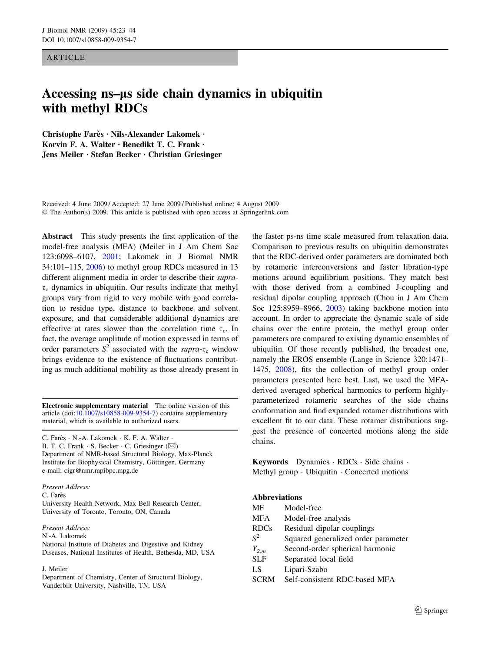**ARTICLE** 

# Accessing ns–*l*s side chain dynamics in ubiquitin with methyl RDCs

Christophe Farès · Nils-Alexander Lakomek · Korvin F. A. Walter  $\cdot$  Benedikt T. C. Frank  $\cdot$ Jens Meiler · Stefan Becker · Christian Griesinger

Received: 4 June 2009 / Accepted: 27 June 2009 / Published online: 4 August 2009  $\odot$  The Author(s) 2009. This article is published with open access at Springerlink.com

Abstract This study presents the first application of the model-free analysis (MFA) (Meiler in J Am Chem Soc 123:6098–6107, [2001](#page-20-0); Lakomek in J Biomol NMR 34:101–115, [2006](#page-20-0)) to methyl group RDCs measured in 13 different alignment media in order to describe their supra- $\tau_c$  dynamics in ubiquitin. Our results indicate that methyl groups vary from rigid to very mobile with good correlation to residue type, distance to backbone and solvent exposure, and that considerable additional dynamics are effective at rates slower than the correlation time  $\tau_c$ . In fact, the average amplitude of motion expressed in terms of order parameters  $S^2$  associated with the *supra-* $\tau_c$  window brings evidence to the existence of fluctuations contributing as much additional mobility as those already present in

Electronic supplementary material The online version of this article (doi:[10.1007/s10858-009-9354-7\)](http://dx.doi.org/10.1007/s10858-009-9354-7) contains supplementary material, which is available to authorized users.

C. Farès · N.-A. Lakomek · K. F. A. Walter · B. T. C. Frank  $\cdot$  S. Becker  $\cdot$  C. Griesinger ( $\boxtimes$ ) Department of NMR-based Structural Biology, Max-Planck Institute for Biophysical Chemistry, Göttingen, Germany e-mail: cigr@nmr.mpibpc.mpg.de

Present Address: C. Farès University Health Network, Max Bell Research Center, University of Toronto, Toronto, ON, Canada

Present Address:

N.-A. Lakomek

National Institute of Diabetes and Digestive and Kidney Diseases, National Institutes of Health, Bethesda, MD, USA

#### J. Meiler

Department of Chemistry, Center of Structural Biology, Vanderbilt University, Nashville, TN, USA

the faster ps-ns time scale measured from relaxation data. Comparison to previous results on ubiquitin demonstrates that the RDC-derived order parameters are dominated both by rotameric interconversions and faster libration-type motions around equilibrium positions. They match best with those derived from a combined J-coupling and residual dipolar coupling approach (Chou in J Am Chem Soc 125:8959–8966, [2003](#page-19-0)) taking backbone motion into account. In order to appreciate the dynamic scale of side chains over the entire protein, the methyl group order parameters are compared to existing dynamic ensembles of ubiquitin. Of those recently published, the broadest one, namely the EROS ensemble (Lange in Science 320:1471– 1475, [2008](#page-20-0)), fits the collection of methyl group order parameters presented here best. Last, we used the MFAderived averaged spherical harmonics to perform highlyparameterized rotameric searches of the side chains conformation and find expanded rotamer distributions with excellent fit to our data. These rotamer distributions suggest the presence of concerted motions along the side chains.

**Keywords** Dynamics  $\cdot$  RDCs  $\cdot$  Side chains  $\cdot$ Methyl group · Ubiquitin · Concerted motions

## Abbreviations

| MF          | Model-free                          |
|-------------|-------------------------------------|
| MFA         | Model-free analysis                 |
| <b>RDCs</b> | Residual dipolar couplings          |
| $S^2$       | Squared generalized order parameter |
| $Y_{2,m}$   | Second-order spherical harmonic     |
| SLF         | Separated local field               |
| LS          | Lipari-Szabo                        |
| <b>SCRM</b> | Self-consistent RDC-based MFA       |
|             |                                     |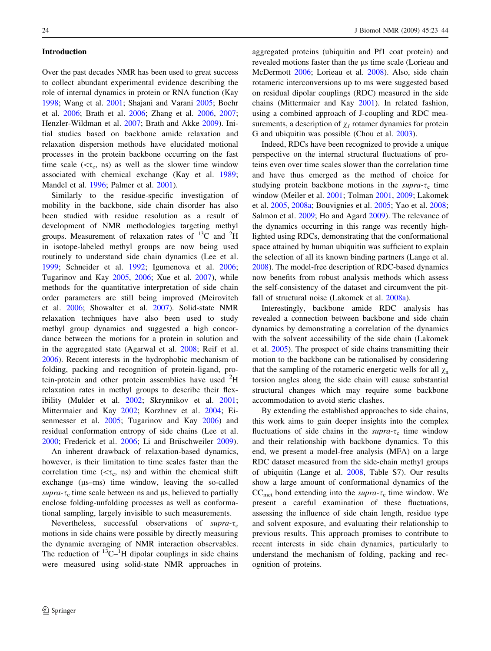## Introduction

Over the past decades NMR has been used to great success to collect abundant experimental evidence describing the role of internal dynamics in protein or RNA function (Kay [1998;](#page-19-0) Wang et al. [2001](#page-21-0); Shajani and Varani [2005](#page-20-0); Boehr et al. [2006;](#page-19-0) Brath et al. [2006](#page-19-0); Zhang et al. [2006](#page-21-0), [2007](#page-21-0); Henzler-Wildman et al. [2007;](#page-19-0) Brath and Akke [2009](#page-19-0)). Initial studies based on backbone amide relaxation and relaxation dispersion methods have elucidated motional processes in the protein backbone occurring on the fast time scale ( $\lt\tau_c$ , ns) as well as the slower time window associated with chemical exchange (Kay et al. [1989](#page-19-0); Mandel et al. [1996;](#page-20-0) Palmer et al. [2001](#page-20-0)).

Similarly to the residue-specific investigation of mobility in the backbone, side chain disorder has also been studied with residue resolution as a result of development of NMR methodologies targeting methyl groups. Measurement of relaxation rates of  $^{13}$ C and  $^{2}$ H in isotope-labeled methyl groups are now being used routinely to understand side chain dynamics (Lee et al. [1999;](#page-20-0) Schneider et al. [1992](#page-20-0); Igumenova et al. [2006](#page-19-0); Tugarinov and Kay [2005,](#page-21-0) [2006](#page-21-0); Xue et al. [2007\)](#page-21-0), while methods for the quantitative interpretation of side chain order parameters are still being improved (Meirovitch et al. [2006](#page-20-0); Showalter et al. [2007](#page-20-0)). Solid-state NMR relaxation techniques have also been used to study methyl group dynamics and suggested a high concordance between the motions for a protein in solution and in the aggregated state (Agarwal et al. [2008;](#page-19-0) Reif et al. [2006\)](#page-20-0). Recent interests in the hydrophobic mechanism of folding, packing and recognition of protein-ligand, protein-protein and other protein assemblies have used  ${}^{2}$ H relaxation rates in methyl groups to describe their flexibility (Mulder et al. [2002](#page-20-0); Skrynnikov et al. [2001](#page-20-0); Mittermaier and Kay [2002;](#page-20-0) Korzhnev et al. [2004](#page-19-0); Eisenmesser et al. [2005;](#page-19-0) Tugarinov and Kay [2006](#page-21-0)) and residual conformation entropy of side chains (Lee et al. [2000;](#page-20-0) Frederick et al. [2006;](#page-19-0) Li and Brüschweiler [2009](#page-20-0)).

An inherent drawback of relaxation-based dynamics, however, is their limitation to time scales faster than the correlation time ( $\langle \tau_c, \text{ns} \rangle$  and within the chemical shift exchange  $(\mu s - ms)$  time window, leaving the so-called supra- $\tau_c$  time scale between ns and  $\mu$ s, believed to partially enclose folding-unfolding processes as well as conformational sampling, largely invisible to such measurements.

Nevertheless, successful observations of supra- $\tau_c$ motions in side chains were possible by directly measuring the dynamic averaging of NMR interaction observables. The reduction of  $^{13}C^{-1}H$  dipolar couplings in side chains were measured using solid-state NMR approaches in aggregated proteins (ubiquitin and Pf1 coat protein) and revealed motions faster than the  $\mu$ s time scale (Lorieau and McDermott [2006](#page-20-0); Lorieau et al. [2008\)](#page-20-0). Also, side chain rotameric interconversions up to ms were suggested based on residual dipolar couplings (RDC) measured in the side chains (Mittermaier and Kay [2001](#page-20-0)). In related fashion, using a combined approach of J-coupling and RDC measurements, a description of  $\chi_I$  rotamer dynamics for protein G and ubiquitin was possible (Chou et al. [2003\)](#page-19-0).

Indeed, RDCs have been recognized to provide a unique perspective on the internal structural fluctuations of proteins even over time scales slower than the correlation time and have thus emerged as the method of choice for studying protein backbone motions in the supra- $\tau_c$  time window (Meiler et al. [2001](#page-20-0); Tolman [2001,](#page-21-0) [2009;](#page-21-0) Lakomek et al. [2005,](#page-20-0) [2008a](#page-20-0); Bouvignies et al. [2005](#page-19-0); Yao et al. [2008](#page-21-0); Salmon et al. [2009](#page-20-0); Ho and Agard [2009\)](#page-19-0). The relevance of the dynamics occurring in this range was recently highlighted using RDCs, demonstrating that the conformational space attained by human ubiquitin was sufficient to explain the selection of all its known binding partners (Lange et al. [2008](#page-20-0)). The model-free description of RDC-based dynamics now benefits from robust analysis methods which assess the self-consistency of the dataset and circumvent the pitfall of structural noise (Lakomek et al. [2008a\)](#page-20-0).

Interestingly, backbone amide RDC analysis has revealed a connection between backbone and side chain dynamics by demonstrating a correlation of the dynamics with the solvent accessibility of the side chain (Lakomek et al. [2005\)](#page-20-0). The prospect of side chains transmitting their motion to the backbone can be rationalised by considering that the sampling of the rotameric energetic wells for all  $\chi_{n}$ torsion angles along the side chain will cause substantial structural changes which may require some backbone accommodation to avoid steric clashes.

By extending the established approaches to side chains, this work aims to gain deeper insights into the complex fluctuations of side chains in the supra- $\tau_c$  time window and their relationship with backbone dynamics. To this end, we present a model-free analysis (MFA) on a large RDC dataset measured from the side-chain methyl groups of ubiquitin (Lange et al. [2008](#page-20-0), Table S7). Our results show a large amount of conformational dynamics of the  $CC_{met}$  bond extending into the *supra-* $\tau_c$  time window. We present a careful examination of these fluctuations, assessing the influence of side chain length, residue type and solvent exposure, and evaluating their relationship to previous results. This approach promises to contribute to recent interests in side chain dynamics, particularly to understand the mechanism of folding, packing and recognition of proteins.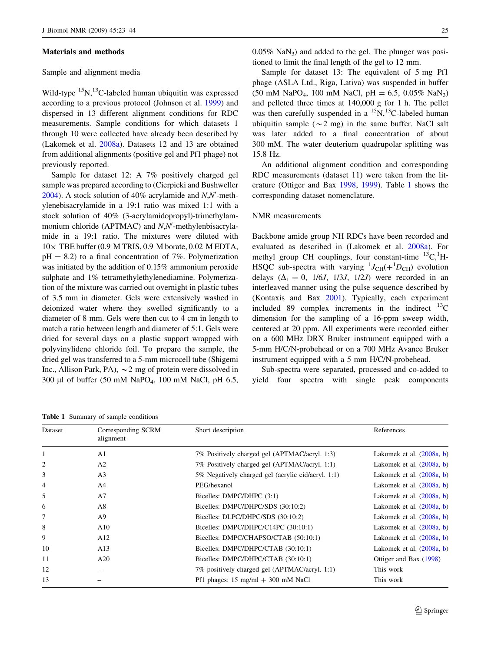#### Materials and methods

## Sample and alignment media

Wild-type  ${}^{15}N,{}^{13}C$ -labeled human ubiquitin was expressed according to a previous protocol (Johnson et al. [1999](#page-19-0)) and dispersed in 13 different alignment conditions for RDC measurements. Sample conditions for which datasets 1 through 10 were collected have already been described by (Lakomek et al. [2008a](#page-20-0)). Datasets 12 and 13 are obtained from additional alignments (positive gel and Pf1 phage) not previously reported.

Sample for dataset 12: A 7% positively charged gel sample was prepared according to (Cierpicki and Bushweller [2004\)](#page-19-0). A stock solution of 40% acrylamide and  $N$ , $N'$ -methylenebisacrylamide in a 19:1 ratio was mixed 1:1 with a stock solution of 40% (3-acrylamidopropyl)-trimethylammonium chloride (APTMAC) and N,N'-methylenbisacrylamide in a 19:1 ratio. The mixtures were diluted with  $10\times$  TBE buffer (0.9 M TRIS, 0.9 M borate, 0.02 M EDTA,  $pH = 8.2$ ) to a final concentration of 7%. Polymerization was initiated by the addition of 0.15% ammonium peroxide sulphate and 1% tetramethylethylenediamine. Polymerization of the mixture was carried out overnight in plastic tubes of 3.5 mm in diameter. Gels were extensively washed in deionized water where they swelled significantly to a diameter of 8 mm. Gels were then cut to 4 cm in length to match a ratio between length and diameter of 5:1. Gels were dried for several days on a plastic support wrapped with polyvinylidene chloride foil. To prepare the sample, the dried gel was transferred to a 5-mm microcell tube (Shigemi Inc., Allison Park, PA),  $\sim$  2 mg of protein were dissolved in 300 µl of buffer (50 mM NaPO<sub>4</sub>, 100 mM NaCl, pH 6.5,

Table 1 Summary of sample conditions

 $0.05\%$  NaN<sub>3</sub>) and added to the gel. The plunger was positioned to limit the final length of the gel to 12 mm.

Sample for dataset 13: The equivalent of 5 mg Pf1 phage (ASLA Ltd., Riga, Lativa) was suspended in buffer  $(50 \text{ mM } NaPO<sub>4</sub>, 100 \text{ mM } NaCl, pH = 6.5, 0.05\% NaN<sub>3</sub>)$ and pelleted three times at 140,000 g for 1 h. The pellet was then carefully suspended in a  ${}^{15}N,{}^{13}C$ -labeled human ubiquitin sample ( $\sim$ 2 mg) in the same buffer. NaCl salt was later added to a final concentration of about 300 mM. The water deuterium quadrupolar splitting was 15.8 Hz.

An additional alignment condition and corresponding RDC measurements (dataset 11) were taken from the literature (Ottiger and Bax [1998](#page-20-0), [1999](#page-20-0)). Table 1 shows the corresponding dataset nomenclature.

#### NMR measurements

Backbone amide group NH RDCs have been recorded and evaluated as described in (Lakomek et al. [2008a](#page-20-0)). For methyl group CH couplings, four constant-time  ${}^{13}C, {}^{1}H$ -HSQC sub-spectra with varying  $^{1}J_{\text{CH}}(+ {}^{1}D_{\text{CH}})$  evolution delays  $(\Delta_1 = 0, 1/6J, 1/3J, 1/2J)$  were recorded in an interleaved manner using the pulse sequence described by (Kontaxis and Bax [2001\)](#page-19-0). Typically, each experiment included 89 complex increments in the indirect  $^{13}$ C dimension for the sampling of a 16-ppm sweep width, centered at 20 ppm. All experiments were recorded either on a 600 MHz DRX Bruker instrument equipped with a 5-mm H/C/N-probehead or on a 700 MHz Avance Bruker instrument equipped with a 5 mm H/C/N-probehead.

Sub-spectra were separated, processed and co-added to yield four spectra with single peak components

|                | Corresponding SCRM<br>alignment | Short description                                    | References                  |  |
|----------------|---------------------------------|------------------------------------------------------|-----------------------------|--|
|                | A <sub>1</sub>                  | 7% Positively charged gel (APTMAC/acryl. 1:3)        | Lakomek et al. $(2008a, b)$ |  |
| $\overline{2}$ | A <sub>2</sub>                  | 7% Positively charged gel (APTMAC/acryl. 1:1)        | Lakomek et al. $(2008a, b)$ |  |
| 3              | A <sub>3</sub>                  | 5% Negatively charged gel (acrylic cid/acryl. 1:1)   | Lakomek et al. $(2008a, b)$ |  |
| $\overline{4}$ | A <sup>4</sup>                  | PEG/hexanol                                          | Lakomek et al. $(2008a, b)$ |  |
| 5              | A7                              | Bicelles: DMPC/DHPC (3:1)                            | Lakomek et al. $(2008a, b)$ |  |
| 6              | A8                              | Bicelles: DMPC/DHPC/SDS (30:10:2)                    | Lakomek et al. $(2008a, b)$ |  |
| 7              | A <sub>9</sub>                  | Bicelles: DLPC/DHPC/SDS (30:10:2)                    | Lakomek et al. $(2008a, b)$ |  |
| 8              | A10                             | Bicelles: DMPC/DHPC/C14PC (30:10:1)                  | Lakomek et al. $(2008a, b)$ |  |
| 9              | A12                             | Bicelles: DMPC/CHAPSO/CTAB (50:10:1)                 | Lakomek et al. $(2008a, b)$ |  |
| 10             | A13                             | Bicelles: DMPC/DHPC/CTAB (30:10:1)                   | Lakomek et al. $(2008a, b)$ |  |
| 11             | A20                             | Bicelles: DMPC/DHPC/CTAB (30:10:1)                   | Ottiger and Bax (1998)      |  |
| 12             |                                 | 7% positively charged gel (APTMAC/acryl. 1:1)        | This work                   |  |
| 13             |                                 | Pf1 phages: $15 \text{ mg/ml} + 300 \text{ mM NaCl}$ | This work                   |  |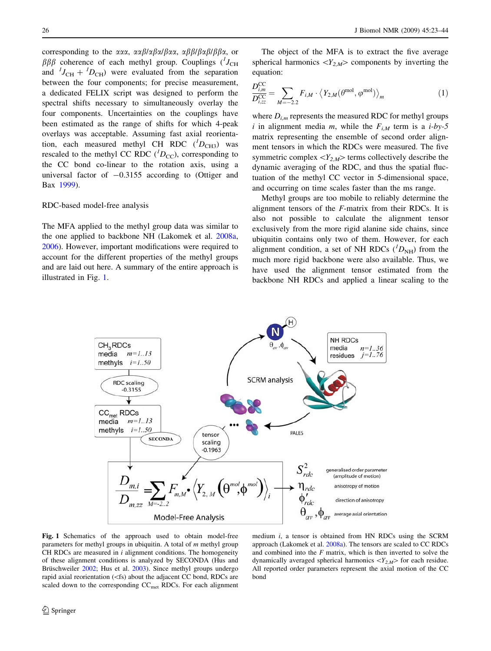<span id="page-3-0"></span>corresponding to the  $\alpha\alpha\alpha$ ,  $\alpha\alpha\beta/\alpha\beta\alpha/\beta\alpha\alpha$ ,  $\alpha\beta\beta/\beta\alpha\beta/\beta\beta\alpha$ , or  $\beta\beta\beta$  coherence of each methyl group. Couplings ( $^lJ_{\text{CH}}$ and  ${}^{1}J_{\text{CH}} + {}^{1}D_{\text{CH}}$  were evaluated from the separation between the four components; for precise measurement, a dedicated FELIX script was designed to perform the spectral shifts necessary to simultaneously overlay the four components. Uncertainties on the couplings have been estimated as the range of shifts for which 4-peak overlays was acceptable. Assuming fast axial reorientation, each measured methyl CH RDC  $(^{I}D_{CH3})$  was rescaled to the methyl CC RDC  $(^{1}D_{\text{CC}})$ , corresponding to the CC bond co-linear to the rotation axis, using a universal factor of  $-0.3155$  according to (Ottiger and Bax [1999\)](#page-20-0).

## RDC-based model-free analysis

The MFA applied to the methyl group data was similar to the one applied to backbone NH (Lakomek et al. [2008a,](#page-20-0) [2006\)](#page-20-0). However, important modifications were required to account for the different properties of the methyl groups and are laid out here. A summary of the entire approach is illustrated in Fig. 1.

The object of the MFA is to extract the five average spherical harmonics  $\langle Y_{2,M} \rangle$  components by inverting the equation:

$$
\frac{D_{i,m}^{\text{CC}}}{D_{i,\text{CC}}^{\text{CC}}} = \sum_{M=-2.2} F_{i,M} \cdot \left\langle Y_{2,M}(\theta^{\text{mol}}, \varphi^{\text{mol}}) \right\rangle_{m} \tag{1}
$$

where  $D_{i,m}$  represents the measured RDC for methyl groups i in alignment media m, while the  $F_{iM}$  term is a i-by-5 matrix representing the ensemble of second order alignment tensors in which the RDCs were measured. The five symmetric complex  $\langle Y_{2,M}\rangle$  terms collectively describe the dynamic averaging of the RDC, and thus the spatial fluctuation of the methyl CC vector in 5-dimensional space, and occurring on time scales faster than the ms range.

Methyl groups are too mobile to reliably determine the alignment tensors of the F-matrix from their RDCs. It is also not possible to calculate the alignment tensor exclusively from the more rigid alanine side chains, since ubiquitin contains only two of them. However, for each alignment condition, a set of NH RDCs  $(^{1}D_{\text{NH}})$  from the much more rigid backbone were also available. Thus, we have used the alignment tensor estimated from the backbone NH RDCs and applied a linear scaling to the



Fig. 1 Schematics of the approach used to obtain model-free parameters for methyl groups in ubiquitin. A total of  $m$  methyl group CH RDCs are measured in  $i$  alignment conditions. The homogeneity of these alignment conditions is analyzed by SECONDA (Hus and Brüschweiler [2002;](#page-19-0) Hus et al. [2003](#page-19-0)). Since methyl groups undergo rapid axial reorientation  $(<$ fs) about the adjacent CC bond, RDCs are scaled down to the corresponding  $CC<sub>met</sub> RDCs$ . For each alignment

medium i, a tensor is obtained from HN RDCs using the SCRM approach (Lakomek et al. [2008a](#page-20-0)). The tensors are scaled to CC RDCs and combined into the  $F$  matrix, which is then inverted to solve the dynamically averaged spherical harmonics  $\langle Y_{2,M} \rangle$  for each residue. All reported order parameters represent the axial motion of the CC bond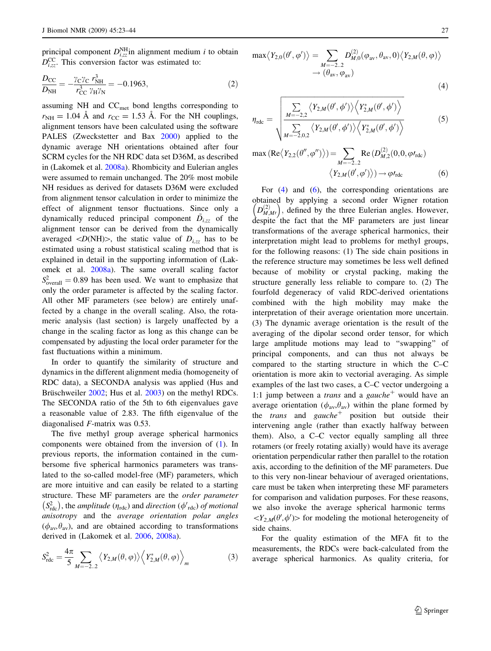principal component  $D_{i,zz}^{\text{NH}}$ in alignment medium *i* to obtain  $D_{i,zz}^{\text{CC}}$ . This conversion factor was estimated to:

$$
\frac{D_{\rm CC}}{D_{\rm NH}} = -\frac{\gamma_{\rm C}\gamma_{\rm C}r_{\rm NH}^3}{r_{\rm CC}^3\gamma_{\rm H}\gamma_{\rm N}} = -0.1963,\tag{2}
$$

assuming NH and  $CC<sub>met</sub>$  bond lengths corresponding to  $r_{\text{NH}} = 1.04 \text{ Å}$  and  $r_{\text{CC}} = 1.53 \text{ Å}$ . For the NH couplings, alignment tensors have been calculated using the software PALES (Zweckstetter and Bax [2000](#page-21-0)) applied to the dynamic average NH orientations obtained after four SCRM cycles for the NH RDC data set D36M, as described in (Lakomek et al. [2008a\)](#page-20-0). Rhombicity and Eulerian angles were assumed to remain unchanged. The 20% most mobile NH residues as derived for datasets D36M were excluded from alignment tensor calculation in order to minimize the effect of alignment tensor fluctuations. Since only a dynamically reduced principal component  $\ddot{D}_{i,zz}$  of the alignment tensor can be derived from the dynamically averaged  $\langle D(NH)\rangle$ , the static value of  $D_{i,zz}$  has to be estimated using a robust statistical scaling method that is explained in detail in the supporting information of (Lakomek et al. [2008a\)](#page-20-0). The same overall scaling factor  $S_{\text{overall}}^2 = 0.89$  has been used. We want to emphasize that only the order parameter is affected by the scaling factor. All other MF parameters (see below) are entirely unaffected by a change in the overall scaling. Also, the rotameric analysis (last section) is largely unaffected by a change in the scaling factor as long as this change can be compensated by adjusting the local order parameter for the fast fluctuations within a minimum.

In order to quantify the similarity of structure and dynamics in the different alignment media (homogeneity of RDC data), a SECONDA analysis was applied (Hus and Brüschweiler [2002;](#page-19-0) Hus et al. [2003](#page-19-0)) on the methyl RDCs. The SECONDA ratio of the 5th to 6th eigenvalues gave a reasonable value of 2.83. The fifth eigenvalue of the diagonalised F-matrix was 0.53.

The five methyl group average spherical harmonics components were obtained from the inversion of [\(1](#page-3-0)). In previous reports, the information contained in the cumbersome five spherical harmonics parameters was translated to the so-called model-free (MF) parameters, which are more intuitive and can easily be related to a starting structure. These MF parameters are the order parameter Salattice. These  $\overline{M}$  parameters are the order parameters ( $S_{\text{rdc}}^2$ ), the *amplitude* ( $\eta_{\text{rdc}}$ ) and *direction* ( $\phi'_{\text{rdc}}$ ) of motional anisotropy and the average orientation polar angles  $(\phi_{av}, \theta_{av})$ , and are obtained according to transformations derived in (Lakomek et al. [2006,](#page-20-0) [2008a\)](#page-20-0).

$$
S_{\rm rdc}^2 = \frac{4\pi}{5} \sum_{M=-2..2} \left\langle Y_{2,M}(\theta,\varphi) \right\rangle \left\langle Y_{2,M}^*(\theta,\varphi) \right\rangle_m \tag{3}
$$

$$
\max \langle Y_{2,0}(\theta', \varphi') \rangle = \sum_{M=-2..2} D_{M,0}^{(2)}(\varphi_{\text{av}}, \theta_{\text{av}}, 0) \langle Y_{2,M}(\theta, \varphi) \rangle
$$
  

$$
\rightarrow (\theta_{\text{av}}, \varphi_{\text{av}})
$$
(4)

$$
\eta_{\rm rdc} = \sqrt{\sum_{M=-2,2}^{M=-2,2} \langle Y_{2,M}(\theta', \phi') \rangle \langle Y_{2,M}^*(\theta', \phi') \rangle \over \sum_{M=-2,0,2} \langle Y_{2,M}(\theta', \phi') \rangle \langle Y_{2,M}^*(\theta', \phi') \rangle}
$$
(5)

$$
\max (\text{Re}\langle Y_{2,2}(\theta'', \phi'') \rangle) = \sum_{M=-2..2} \text{Re}\left(D_{M,2}^{(2)}(0,0,\varphi_{\text{rdc}})\right)
$$

$$
\langle Y_{2,M}(\theta', \varphi') \rangle) \to \varphi_{\text{rdc}} \tag{6}
$$

For (4) and (6), the corresponding orientations are obtained by applying a second order Wigner rotation botained by applying a second order wigher rotation  $(D_{M,M}^{(2)})$ , defined by the three Eulerian angles. However, despite the fact that the MF parameters are just linear transformations of the average spherical harmonics, their interpretation might lead to problems for methyl groups, for the following reasons: (1) The side chain positions in the reference structure may sometimes be less well defined because of mobility or crystal packing, making the structure generally less reliable to compare to. (2) The fourfold degeneracy of valid RDC-derived orientations combined with the high mobility may make the interpretation of their average orientation more uncertain. (3) The dynamic average orientation is the result of the averaging of the dipolar second order tensor, for which large amplitude motions may lead to ''swapping'' of principal components, and can thus not always be compared to the starting structure in which the C–C orientation is more akin to vectorial averaging. As simple examples of the last two cases, a C–C vector undergoing a 1:1 jump between a *trans* and a *gauche*<sup>+</sup> would have an average orientation ( $\phi_{av}, \theta_{av}$ ) within the plane formed by the *trans* and *gauche*<sup>+</sup> position but outside their intervening angle (rather than exactly halfway between them). Also, a C–C vector equally sampling all three rotamers (or freely rotating axially) would have its average orientation perpendicular rather then parallel to the rotation axis, according to the definition of the MF parameters. Due to this very non-linear behaviour of averaged orientations, care must be taken when interpreting these MF parameters for comparison and validation purposes. For these reasons, we also invoke the average spherical harmonic terms  $\langle Y_{2,M}(\theta',\phi')\rangle$  for modeling the motional heterogeneity of side chains.

For the quality estimation of the MFA fit to the measurements, the RDCs were back-calculated from the average spherical harmonics. As quality criteria, for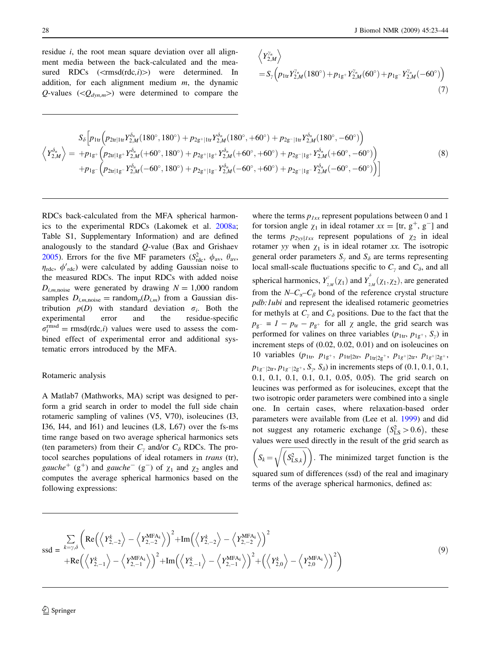<span id="page-5-0"></span>28 J Biomol NMR (2009) 45:23–44

residue *i*, the root mean square deviation over all alignment media between the back-calculated and the measured RDCs  $(<\text{rmsd}(rdc, i)>)$  were determined. In addition, for each alignment medium  $m$ , the dynamic Q-values ( $\langle Q_{dyn,m}\rangle$ ) were determined to compare the

$$
\left\langle Y_{2,M}^{\gamma_n} \right\rangle
$$
  
=  $S_{\gamma} \left( p_{1tr} Y_{2,M}^{\gamma_n} (180^\circ) + p_{1g} Y_{2,M}^{\gamma_n} (60^\circ) + p_{1g} Y_{2,M}^{\gamma_n} (-60^\circ) \right)$  (7)

$$
\left\langle Y_{2,M}^{\delta_n} \right\rangle = \begin{array}{l} S_{\delta} \left[ p_{1tr} \left( p_{2tr|1tr} Y_{2,M}^{\delta_n} (180^\circ, 180^\circ) + p_{2g^+|1tr} Y_{2,M}^{\delta_n} (180^\circ, +60^\circ) + p_{2g^-|1tr} Y_{2,M}^{\delta_n} (180^\circ, -60^\circ) \right) \right. \\ \left\langle Y_{2,M}^{\delta_n} \right\rangle = \left. + p_{1g^+} \left( p_{2tr|1g^+} Y_{2,M}^{\delta_n} (+60^\circ, 180^\circ) + p_{2g^+|1g^+} Y_{2,M}^{\delta_n} (+60^\circ, +60^\circ) + p_{2g^-|1g^+} Y_{2,M}^{\delta_n} (+60^\circ, -60^\circ) \right) \right. \\ \left. + p_{1g^-} \left( p_{2tr|1g^-} Y_{2,M}^{\delta_n} (-60^\circ, 180^\circ) + p_{2g^+|1g^-} Y_{2,M}^{\delta_n} (-60^\circ, +60^\circ) + p_{2g^-|1g^-} Y_{2,M}^{\delta_n} (-60^\circ, -60^\circ) \right) \right] \end{array} \tag{8}
$$

RDCs back-calculated from the MFA spherical harmonics to the experimental RDCs (Lakomek et al. [2008a](#page-20-0); Table S1, Supplementary Information) and are defined analogously to the standard Q-value (Bax and Grishaev [2005\)](#page-19-0). Errors for the five MF parameters  $(S_{\text{rdc}}^2, \phi_{\text{av}}, \theta_{\text{av}})$  $\eta_{\text{rdc}}$ ,  $\phi'_{\text{rdc}}$ ) were calculated by adding Gaussian noise to the measured RDCs. The input RDCs with added noise  $D_{im,\text{noise}}$  were generated by drawing  $N = 1,000$  random samples  $D_{i,m,\text{noise}} = \text{random}_p(D_{i,m})$  from a Gaussian distribution  $p(D)$  with standard deviation  $\sigma_i$ . Both the experimental error and the residue-specific  $\sigma_i^{\text{rmsd}} = \text{rmsd}(\text{rdc}, i)$  values were used to assess the combined effect of experimental error and additional systematic errors introduced by the MFA.

## Rotameric analysis

A Matlab7 (Mathworks, MA) script was designed to perform a grid search in order to model the full side chain rotameric sampling of valines (V5, V70), isoleucines (I3, I36, I44, and I61) and leucines (L8, L67) over the fs-ms time range based on two average spherical harmonics sets (ten parameters) from their  $C_{\gamma}$  and/or  $C_{\delta}$  RDCs. The protocol searches populations of ideal rotamers in trans (tr), gauche<sup>+</sup> (g<sup>+</sup>) and gauche<sup>-</sup> (g<sup>-</sup>) of  $\chi_1$  and  $\chi_2$  angles and computes the average spherical harmonics based on the following expressions:

where the terms  $p_{1xx}$  represent populations between 0 and 1 for torsion angle  $\chi_1$  in ideal rotamer  $xx = [tr, g^+, g^-]$  and the terms  $p_{2yy|Ixx}$  represent populations of  $\chi_2$  in ideal rotamer yy when  $\chi_1$  is in ideal rotamer xx. The isotropic general order parameters  $S_{\gamma}$  and  $S_{\delta}$  are terms representing local small-scale fluctuations specific to  $C_\gamma$  and  $C_\delta$ , and all spherical harmonics,  $Y^{\dagger}_{2,M}(\chi_1)$  and  $Y^{\dagger}_{2,M}(\chi_1,\chi_2)$ , are generated from the  $N-C_{\alpha}-C_{\beta}$  bond of the reference crystal structure pdb:1ubi and represent the idealised rotameric geometries for methyls at  $C_{\gamma}$  and  $C_{\delta}$  positions. Due to the fact that the  $p_{g^-} = 1 - p_{tr} - p_{g^+}$  for all  $\chi$  angle, the grid search was performed for valines on three variables  $(p_{1tr}, p_{1g^+}, S_y)$  in increment steps of (0.02, 0.02, 0.01) and on isoleucines on 10 variables ( $p_{1tr}, p_{1g^+}, p_{1tr|2tr}, p_{1tr|2g^+}, p_{1g^+|2tr}, p_{1g^+|2g^+}, p_{1g^+|2g^+}, p_{1g^+|2g^+}, p_{1g^+|2g^+}, p_{1g^+|2g^+}, p_{1g^+|2g^+}, p_{1g^+|2g^+}, p_{1g^+|2g^+}, p_{1g^+|2g^+}, p_{1g^+|2g^+}, p_{1g^+|2g^+}, p_{1g^+|2g^+}, p_{1g^+|2g^+}, p_{1g^+|2g^$  $p_{1g^-|2tr}, p_{1g^-|2g^+}, S_{\gamma}, S_{\delta})$  in increments steps of (0.1, 0.1, 0.1, 0.1, 0.1, 0.1, 0.1, 0.1, 0.05, 0.05). The grid search on leucines was performed as for isoleucines, except that the two isotropic order parameters were combined into a single one. In certain cases, where relaxation-based order parameters were available from (Lee et al. [1999](#page-20-0)) and did not suggest any rotameric exchange  $(S_{LS}^2 > 0.6)$ , these values were used directly in the result of the grid search as  $\left(S_k = \sqrt{\left(S_{\text{LS},k}^2\right)}\right)$ . The minimized target function is the squared sum of differences (ssd) of the real and imaginary terms of the average spherical harmonics, defined as:

$$
\text{ssd} = \sum_{k=y,\delta} \left( \text{Re}\left( \left\langle Y_{2,-2}^{k} \right\rangle - \left\langle Y_{2,-2}^{\text{MFA}_k} \right\rangle \right)^2 + \text{Im}\left( \left\langle Y_{2,-2}^{k} \right\rangle - \left\langle Y_{2,-2}^{\text{MFA}_k} \right\rangle \right)^2 + \text{Re}\left( \left\langle Y_{2,-1}^{k} \right\rangle - \left\langle Y_{2,-1}^{\text{MFA}_k} \right\rangle \right)^2 + \text{Im}\left( \left\langle Y_{2,-1}^{k} \right\rangle - \left\langle Y_{2,-1}^{\text{MFA}_k} \right\rangle \right)^2 + \left( \left\langle Y_{2,0}^{k} \right\rangle - \left\langle Y_{2,0}^{\text{MFA}_k} \right\rangle \right)^2 \right)
$$
\n(9)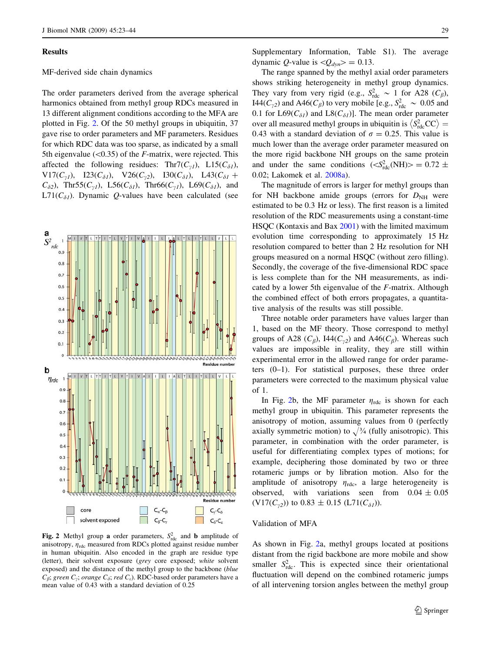#### <span id="page-6-0"></span>Results

#### MF-derived side chain dynamics

The order parameters derived from the average spherical harmonics obtained from methyl group RDCs measured in 13 different alignment conditions according to the MFA are plotted in Fig. 2. Of the 50 methyl groups in ubiquitin, 37 gave rise to order parameters and MF parameters. Residues for which RDC data was too sparse, as indicated by a small 5th eigenvalue  $(<0.35)$  of the *F*-matrix, were rejected. This affected the following residues: Thr7( $C_{\gamma l}$ ), L15( $C_{\delta l}$ ), V17( $C_{\gamma l}$ ), I23( $C_{\delta l}$ ), V26( $C_{\gamma 2}$ ), I30( $C_{\delta l}$ ), L43( $C_{\delta l}$  +  $C_{\delta 2}$ ), Thr55( $C_{\gamma 1}$ ), L56( $C_{\delta 1}$ ), Thr66( $C_{\gamma 1}$ ), L69( $C_{\delta 1}$ ), and  $L71(C_{\delta I})$ . Dynamic Q-values have been calculated (see



Fig. 2 Methyl group a order parameters,  $S_{\text{rdc}}^2$  and **b** amplitude of anisotropy,  $\eta_{\text{rdc}}$  measured from RDCs plotted against residue number in human ubiquitin. Also encoded in the graph are residue type (letter), their solvent exposure (grey core exposed; white solvent exposed) and the distance of the methyl group to the backbone (blue  $C_{\beta}$ ; green  $C_{\gamma}$ ; orange  $C_{\delta}$ ; red  $C_{\varepsilon}$ ). RDC-based order parameters have a mean value of 0.43 with a standard deviation of 0.25

Supplementary Information, Table S1). The average dynamic *Q*-value is  $\langle Q_{dyn} \rangle = 0.13$ .

The range spanned by the methyl axial order parameters shows striking heterogeneity in methyl group dynamics. They vary from very rigid (e.g.,  $S_{\text{rdc}}^2 \sim 1$  for A28 ( $C_{\beta}$ ), I44( $C_{\gamma 2}$ ) and A46( $C_{\beta}$ ) to very mobile [e.g.,  $S_{\text{rdc}}^2 \sim 0.05$  and 0.1 for  $L69(C_{\delta l})$  and  $L8(C_{\delta l})$ ]. The mean order parameter over all measured methyl groups in ubiquitin is  $\langle S_{\text{rdc}}^2CC \rangle =$ 0.43 with a standard deviation of  $\sigma = 0.25$ . This value is much lower than the average order parameter measured on the more rigid backbone NH groups on the same protein and under the same conditions  $(*S*<sub>rdc</sub><sup>2</sup>(NH)> = 0.72 \pm$ 0.02; Lakomek et al. [2008a](#page-20-0)).

The magnitude of errors is larger for methyl groups than for NH backbone amide groups (errors for  $D<sub>NH</sub>$  were estimated to be 0.3 Hz or less). The first reason is a limited resolution of the RDC measurements using a constant-time HSQC (Kontaxis and Bax [2001](#page-19-0)) with the limited maximum evolution time corresponding to approximately 15 Hz resolution compared to better than 2 Hz resolution for NH groups measured on a normal HSQC (without zero filling). Secondly, the coverage of the five-dimensional RDC space is less complete than for the NH measurements, as indicated by a lower 5th eigenvalue of the F-matrix. Although the combined effect of both errors propagates, a quantitative analysis of the results was still possible.

Three notable order parameters have values larger than 1, based on the MF theory. Those correspond to methyl groups of A28 ( $C_{\beta}$ ), I44( $C_{\gamma 2}$ ) and A46( $C_{\beta}$ ). Whereas such values are impossible in reality, they are still within experimental error in the allowed range for order parameters (0–1). For statistical purposes, these three order parameters were corrected to the maximum physical value of 1.

In Fig. 2b, the MF parameter  $\eta_{\text{rdc}}$  is shown for each methyl group in ubiquitin. This parameter represents the anisotropy of motion, assuming values from 0 (perfectly axially symmetric motion) to  $\sqrt{\frac{3}{4}}$  (fully anisotropic). This parameter, in combination with the order parameter, is useful for differentiating complex types of motions; for example, deciphering those dominated by two or three rotameric jumps or by libration motion. Also for the amplitude of anisotropy  $\eta_{\text{rdc}}$ , a large heterogeneity is observed, with variations seen from  $0.04 \pm 0.05$  $(V17(C_{\gamma_2}))$  to 0.83  $\pm$  0.15 (L71( $C_{\delta I}$ )).

#### Validation of MFA

As shown in Fig. 2a, methyl groups located at positions distant from the rigid backbone are more mobile and show smaller  $S_{\text{rdc}}^2$ . This is expected since their orientational fluctuation will depend on the combined rotameric jumps of all intervening torsion angles between the methyl group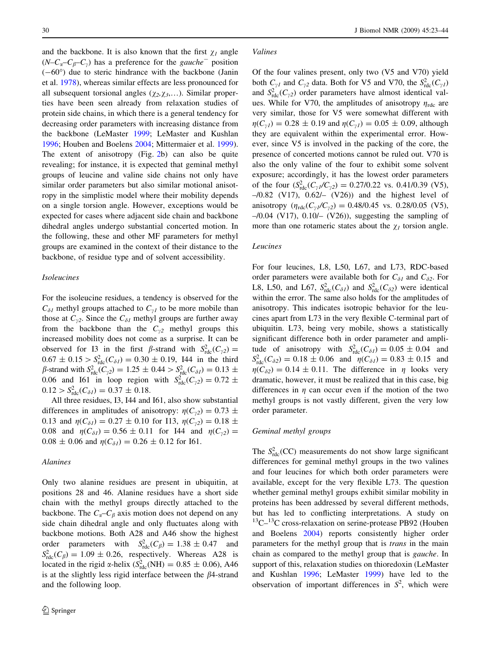and the backbone. It is also known that the first  $\chi_l$  angle  $(N-C_{\alpha}-C_{\beta}-C_{\gamma})$  has a preference for the gauche<sup>-</sup> position  $(-60^{\circ})$  due to steric hindrance with the backbone (Janin et al. [1978\)](#page-19-0), whereas similar effects are less pronounced for all subsequent torsional angles  $(\chi_2, \chi_3,...)$ . Similar properties have been seen already from relaxation studies of protein side chains, in which there is a general tendency for decreasing order parameters with increasing distance from the backbone (LeMaster [1999;](#page-20-0) LeMaster and Kushlan [1996;](#page-20-0) Houben and Boelens [2004;](#page-19-0) Mittermaier et al. [1999](#page-20-0)). The extent of anisotropy (Fig. [2](#page-6-0)b) can also be quite revealing; for instance, it is expected that geminal methyl groups of leucine and valine side chains not only have similar order parameters but also similar motional anisotropy in the simplistic model where their mobility depends on a single torsion angle. However, exceptions would be expected for cases where adjacent side chain and backbone dihedral angles undergo substantial concerted motion. In the following, these and other MF parameters for methyl groups are examined in the context of their distance to the backbone, of residue type and of solvent accessibility.

## Isoleucines

For the isoleucine residues, a tendency is observed for the  $C_{\delta l}$  methyl groups attached to  $C_{\gamma l}$  to be more mobile than those at  $C_{v2}$ . Since the  $C_{\delta l}$  methyl groups are further away from the backbone than the  $C_{v2}$  methyl groups this increased mobility does not come as a surprise. It can be observed for I3 in the first  $\beta$ -strand with  $S_{\text{rdc}}^2(C_{\gamma 2}) =$  $0.67 \pm 0.15 > S_{\text{rdc}}^2(C_{\delta l}) = 0.30 \pm 0.19$ , I44 in the third  $\beta$ -strand with  $S^2_{\text{rdc}}(C_{\gamma 2}) = 1.25 \pm 0.44 > S^2_{\text{rdc}}(C_{\delta I}) = 0.13 \pm 0.13$ 0.06 and I61 in loop region with  $S^2_{\text{rdc}}(C_{\gamma 2}) = 0.72 \pm$  $0.12 > S<sub>rdc</sub><sup>2</sup>(C<sub>\delta1</sub>) = 0.37 \pm 0.18.$ 

All three residues, I3, I44 and I61, also show substantial differences in amplitudes of anisotropy:  $\eta(C_{2}) = 0.73 \pm 1$ 0.13 and  $\eta(C_{\delta l}) = 0.27 \pm 0.10$  for I13,  $\eta(C_{\gamma 2}) = 0.18 \pm 0.10$ 0.08 and  $\eta(C_{\delta l}) = 0.56 \pm 0.11$  for I44 and  $\eta(C_{\nu 2}) =$  $0.08 \pm 0.06$  and  $\eta(C_{\delta I}) = 0.26 \pm 0.12$  for I61.

## Alanines

Only two alanine residues are present in ubiquitin, at positions 28 and 46. Alanine residues have a short side chain with the methyl groups directly attached to the backbone. The  $C_{\alpha}-C_{\beta}$  axis motion does not depend on any side chain dihedral angle and only fluctuates along with backbone motions. Both A28 and A46 show the highest order parameters with  $S_{\text{rdc}}^2(C_\beta) = 1.38 \pm 0.47$  and  $S_{\text{rdc}}^2(C_\beta) = 1.09 \pm 0.26$ , respectively. Whereas A28 is located in the rigid  $\alpha$ -helix ( $S_{\text{rdc}}^2(\text{NH}) = 0.85 \pm 0.06$ ), A46 is at the slightly less rigid interface between the  $\beta$ 4-strand and the following loop.

#### Valines

Of the four valines present, only two (V5 and V70) yield both  $C_{\gamma l}$  and  $C_{\gamma 2}$  data. Both for V5 and V70, the  $S_{\text{rdc}}^2(C_{\gamma l})$ and  $S<sub>rdc</sub>(C<sub>γ2</sub>)$  order parameters have almost identical values. While for V70, the amplitudes of anisotropy  $\eta_{\text{rdc}}$  are very similar, those for V5 were somewhat different with  $\eta(C_{\gamma I}) = 0.28 \pm 0.19$  and  $\eta(C_{\gamma I}) = 0.05 \pm 0.09$ , although they are equivalent within the experimental error. However, since V5 is involved in the packing of the core, the presence of concerted motions cannot be ruled out. V70 is also the only valine of the four to exhibit some solvent exposure; accordingly, it has the lowest order parameters of the four  $(S_{\text{rdc}}^2(C_{\gamma I}/C_{\gamma 2}) = 0.27/0.22$  vs. 0.41/0.39 (V5), –/0.82 (V17), 0.62/– (V26)) and the highest level of anisotropy  $(\eta_{\rm rdc}(C_{\gamma l}/C_{\gamma 2}) = 0.48/0.45$  vs. 0.28/0.05 (V5),  $-$ /0.04 (V17), 0.10/ $-$  (V26)), suggesting the sampling of more than one rotameric states about the  $\chi_I$  torsion angle.

## Leucines

For four leucines, L8, L50, L67, and L73, RDC-based order parameters were available both for  $C_{\delta l}$  and  $C_{\delta 2}$ . For L8, L50, and L67,  $S_{\text{rdc}}^2(C_{\delta l})$  and  $S_{\text{rdc}}^2(C_{\delta 2})$  were identical within the error. The same also holds for the amplitudes of anisotropy. This indicates isotropic behavior for the leucines apart from L73 in the very flexible C-terminal part of ubiquitin. L73, being very mobile, shows a statistically significant difference both in order parameter and amplitude of anisotropy with  $S_{\text{rdc}}^2(C_{\delta I}) = 0.05 \pm 0.04$  and  $S_{\text{rdc}}^2(C_{\delta 2}) = 0.18 \pm 0.06$  and  $\eta(C_{\delta 1}) = 0.83 \pm 0.15$  and  $\eta(C_{\delta2}) = 0.14 \pm 0.11$ . The difference in  $\eta$  looks very dramatic, however, it must be realized that in this case, big differences in  $\eta$  can occur even if the motion of the two methyl groups is not vastly different, given the very low order parameter.

#### Geminal methyl groups

The  $S<sub>rdc</sub><sup>2</sup>(CC)$  measurements do not show large significant differences for geminal methyl groups in the two valines and four leucines for which both order parameters were available, except for the very flexible L73. The question whether geminal methyl groups exhibit similar mobility in proteins has been addressed by several different methods, but has led to conflicting interpretations. A study on  $13^1$ C $-13^1$ C cross-relaxation on serine-protease PB92 (Houben and Boelens [2004](#page-19-0)) reports consistently higher order parameters for the methyl group that is trans in the main chain as compared to the methyl group that is gauche. In support of this, relaxation studies on thioredoxin (LeMaster and Kushlan [1996](#page-20-0); LeMaster [1999](#page-20-0)) have led to the observation of important differences in  $S^2$ , which were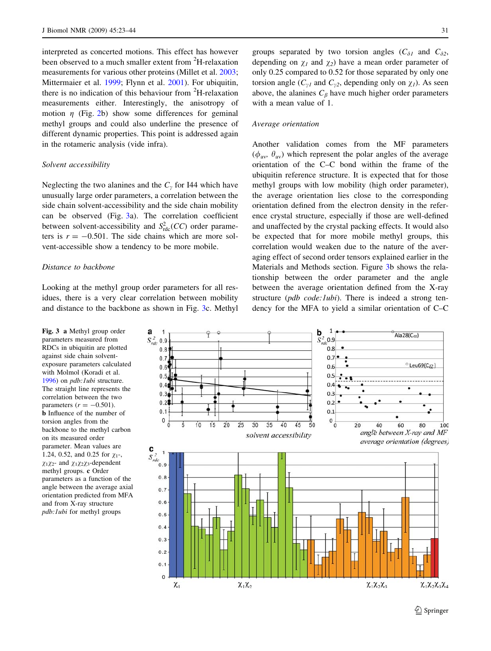interpreted as concerted motions. This effect has however been observed to a much smaller extent from <sup>2</sup>H-relaxation measurements for various other proteins (Millet et al. [2003](#page-20-0); Mittermaier et al. [1999;](#page-20-0) Flynn et al. [2001\)](#page-19-0). For ubiquitin, there is no indication of this behaviour from  ${}^{2}$ H-relaxation measurements either. Interestingly, the anisotropy of motion  $\eta$  (Fig. [2b](#page-6-0)) show some differences for geminal methyl groups and could also underline the presence of different dynamic properties. This point is addressed again in the rotameric analysis (vide infra).

#### Solvent accessibility

Neglecting the two alanines and the  $C<sub>v</sub>$  for I44 which have unusually large order parameters, a correlation between the side chain solvent-accessibility and the side chain mobility can be observed (Fig. 3a). The correlation coefficient between solvent-accessibility and  $S^2_{\text{rdc}}(CC)$  order parameters is  $r = -0.501$ . The side chains which are more solvent-accessible show a tendency to be more mobile.

#### Distance to backbone

Looking at the methyl group order parameters for all residues, there is a very clear correlation between mobility and distance to the backbone as shown in Fig. 3c. Methyl groups separated by two torsion angles  $(C_{\delta l}$  and  $C_{\delta 2}$ , depending on  $\chi_1$  and  $\chi_2$ ) have a mean order parameter of only 0.25 compared to 0.52 for those separated by only one torsion angle  $(C_{\gamma I}$  and  $C_{\gamma 2}$ , depending only on  $\chi_I$ ). As seen above, the alanines  $C_\beta$  have much higher order parameters with a mean value of 1.

#### Average orientation

Another validation comes from the MF parameters  $(\phi_{av}, \theta_{av})$  which represent the polar angles of the average orientation of the C–C bond within the frame of the ubiquitin reference structure. It is expected that for those methyl groups with low mobility (high order parameter), the average orientation lies close to the corresponding orientation defined from the electron density in the reference crystal structure, especially if those are well-defined and unaffected by the crystal packing effects. It would also be expected that for more mobile methyl groups, this correlation would weaken due to the nature of the averaging effect of second order tensors explained earlier in the Materials and Methods section. Figure 3b shows the relationship between the order parameter and the angle between the average orientation defined from the X-ray structure (pdb code: lubi). There is indeed a strong tendency for the MFA to yield a similar orientation of C–C

Fig. 3 a Methyl group order parameters measured from RDCs in ubiquitin are plotted against side chain solventexposure parameters calculated with Molmol (Koradi et al. [1996\)](#page-19-0) on *pdb:1ubi* structure. The straight line represents the correlation between the two parameters  $(r = -0.501)$ . b Influence of the number of torsion angles from the backbone to the methyl carbon on its measured order parameter. Mean values are 1.24, 0.52, and 0.25 for  $\chi_1$ -,  $\chi_1\chi_2$ - and  $\chi_1\chi_2\chi_3$ -dependent methyl groups. c Order parameters as a function of the angle between the average axial orientation predicted from MFA and from X-ray structure pdb:1ubi for methyl groups

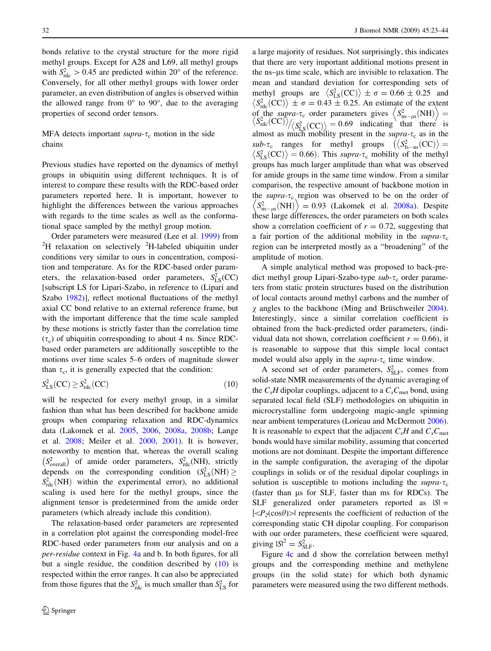bonds relative to the crystal structure for the more rigid methyl groups. Except for A28 and L69, all methyl groups with  $S_{\text{rdc}}^2 > 0.45$  are predicted within 20° of the reference. Conversely, for all other methyl groups with lower order parameter, an even distribution of angles is observed within the allowed range from  $0^{\circ}$  to  $90^{\circ}$ , due to the averaging properties of second order tensors.

## MFA detects important supra- $\tau_c$  motion in the side chains

Previous studies have reported on the dynamics of methyl groups in ubiquitin using different techniques. It is of interest to compare these results with the RDC-based order parameters reported here. It is important, however to highlight the differences between the various approaches with regards to the time scales as well as the conformational space sampled by the methyl group motion.

Order parameters were measured (Lee et al. [1999](#page-20-0)) from <sup>2</sup> H relaxation on selectively <sup>2</sup>H-labeled ubiquitin under conditions very similar to ours in concentration, composition and temperature. As for the RDC-based order parameters, the relaxation-based order parameters,  $S_{LS}^2(CC)$ [subscript LS for Lipari-Szabo, in reference to (Lipari and Szabo [1982](#page-20-0))], reflect motional fluctuations of the methyl axial CC bond relative to an external reference frame, but with the important difference that the time scale sampled by these motions is strictly faster than the correlation time  $(\tau_c)$  of ubiquitin corresponding to about 4 ns. Since RDCbased order parameters are additionally susceptible to the motions over time scales 5–6 orders of magnitude slower than  $\tau_c$ , it is generally expected that the condition:

$$
S_{\text{LS}}^2(\text{CC}) \ge S_{\text{rdc}}^2(\text{CC})\tag{10}
$$

will be respected for every methyl group, in a similar fashion than what has been described for backbone amide groups when comparing relaxation and RDC-dynamics data (Lakomek et al. [2005](#page-20-0), [2006](#page-20-0), [2008a](#page-20-0), [2008b](#page-20-0); Lange et al. [2008](#page-20-0); Meiler et al. [2000,](#page-20-0) [2001\)](#page-20-0). It is however, noteworthy to mention that, whereas the overall scaling  $(S_{\text{overall}}^2)$  of amide order parameters,  $S_{\text{rdc}}^2(\text{NH})$ , strictly depends on the corresponding condition  $(S_{LS}^2(NH)) \ge$  $S<sub>rdc</sub>(NH)$  within the experimental error), no additional scaling is used here for the methyl groups, since the alignment tensor is predetermined from the amide order parameters (which already include this condition).

The relaxation-based order parameters are represented in a correlation plot against the corresponding model-free RDC-based order parameters from our analysis and on a per-residue context in Fig. [4a](#page-10-0) and b. In both figures, for all but a single residue, the condition described by (10) is respected within the error ranges. It can also be appreciated from those figures that the  $S<sub>rdc</sub><sup>2</sup>$  is much smaller than  $S<sub>LS</sub><sup>2</sup>$  for

a large majority of residues. Not surprisingly, this indicates that there are very important additional motions present in the ns–ls time scale, which are invisible to relaxation. The mean and standard deviation for corresponding sets of methyl groups are  $\langle S_{LS}^2({\rm CC}) \rangle \pm \sigma = 0.66 \pm 0.25$  and  $\langle S_{\text{rdc}}^2(\text{CC}) \rangle \pm \sigma = 0.43 \pm 0.25$ . An estimate of the extent  $\langle S_{\text{rdc}}^2(CC) \rangle \pm \sigma = 0.45 \pm 0.25$ . An estimate of the extent<br>of the *supra-* $\tau_c$  order parameters gives  $\langle S_{\text{ns}-\mu s}^2(NH) \rangle =$ <br> $\langle S_{\text{rdc}}^2(CC) \rangle / \langle S_{\mu s}^2(CC) \rangle = 0.69$  indicating that there is of the supra- $\tau_c$  order parameters gives  $\langle S_{\text{ns}-\mu s}^2(\text{NH}) \rangle =$ <br> $\langle S_{\text{rdc}}^2(\text{CC}) \rangle / \langle S_{\text{LS}}^2(\text{CC}) \rangle = 0.69$  indicating that there is almost as much mobility present in the supra- $\tau_c$  as in the sub- $\tau_c$  ranges for methyl groups  $(\langle S_{\text{fs-ns}}^2(\text{CC}) \rangle)$  $\langle S_{LS}^2({CC}) \rangle = 0.66$ . This supra- $\tau_c$  mobility of the methyl groups has much larger amplitude than what was observed for amide groups in the same time window. From a similar comparison, the respective amount of backbone motion in the supra- $\tau_c$  region was observed to be on the order of the *supra-* $\tau_c$  region was observed to be on the order of  $\langle S_{\text{ns}-\mu s}^2(\text{NH}) \rangle = 0.93$  (Lakomek et al. [2008a\)](#page-20-0). Despite these large differences, the order parameters on both scales show a correlation coefficient of  $r = 0.72$ , suggesting that a fair portion of the additional mobility in the supra- $\tau_c$ region can be interpreted mostly as a ''broadening'' of the amplitude of motion.

A simple analytical method was proposed to back-predict methyl group Lipari-Szabo-type  $sub$ - $\tau_c$  order parameters from static protein structures based on the distribution of local contacts around methyl carbons and the number of  $\chi$  angles to the backbone (Ming and Brüschweiler [2004](#page-20-0)). Interestingly, since a similar correlation coefficient is obtained from the back-predicted order parameters, (individual data not shown, correlation coefficient  $r = 0.66$ ), it is reasonable to suppose that this simple local contact model would also apply in the supra- $\tau_c$  time window.

A second set of order parameters,  $S_{SLF}^2$ , comes from solid-state NMR measurements of the dynamic averaging of the  $C_xH$  dipolar couplings, adjacent to a  $C_xC_{\text{met}}$  bond, using separated local field (SLF) methodologies on ubiquitin in microcrystalline form undergoing magic-angle spinning near ambient temperatures (Lorieau and McDermott [2006](#page-20-0)). It is reasonable to expect that the adjacent  $C_xH$  and  $C_xC_{\text{met}}$ bonds would have similar mobility, assuming that concerted motions are not dominant. Despite the important difference in the sample configuration, the averaging of the dipolar couplings in solids or of the residual dipolar couplings in solution is susceptible to motions including the supra- $\tau_c$ (faster than ls for SLF, faster than ms for RDCs). The  $SLF$  generalized order parameters reported as  $|S| =$  $|\langle P_2(\cos\theta)\rangle|$  represents the coefficient of reduction of the corresponding static CH dipolar coupling. For comparison with our order parameters, these coefficient were squared, giving  $|S|^2 = S_{SLF}^2$ .

Figure [4c](#page-10-0) and d show the correlation between methyl groups and the corresponding methine and methylene groups (in the solid state) for which both dynamic parameters were measured using the two different methods.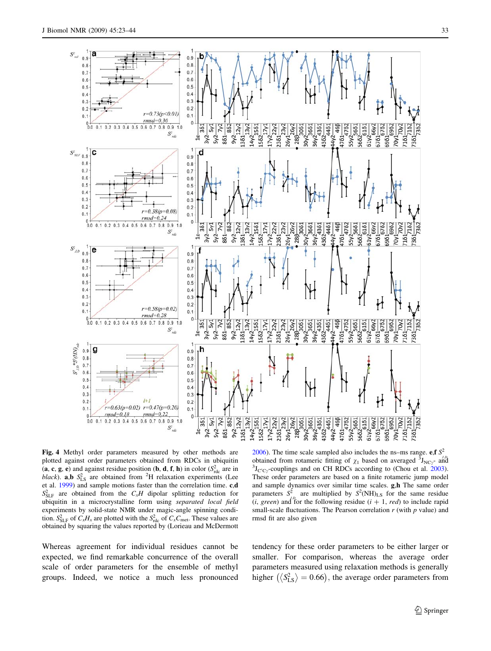<span id="page-10-0"></span>

Fig. 4 Methyl order parameters measured by other methods are plotted against order parameters obtained from RDCs in ubiquitin (a, c, g, e) and against residue position (b, d, f, h) in color  $(S^2_{\text{rdc}}$  are in black). **a,b**  $S_{\text{LS}}^2$  are obtained from <sup>2</sup>H relaxation experiments (Lee et al. [1999](#page-20-0)) and sample motions faster than the correlation time. c,d  $S_{SLF}^2$  are obtained from the  $C_xH$  dipolar splitting reduction for ubiquitin in a microcrystalline form using separated local field experiments by solid-state NMR under magic-angle spinning condition.  $S_{\text{SLF}}^2$  of  $C_xH_x$  are plotted with the  $S_{\text{rdc}}^2$  of  $C_xC_{\text{met}}$ . These values are obtained by squaring the values reported by (Lorieau and McDermott

Whereas agreement for individual residues cannot be expected, we find remarkable concurrence of the overall scale of order parameters for the ensemble of methyl groups. Indeed, we notice a much less pronounced

[2006](#page-20-0)). The time scale sampled also includes the ns–ms range. e,f  $S^2$ obtained from rotameric fitting of  $\chi_1$  based on averaged  $\bar{3}_{\text{JNCy}}$ - and  $\bar{3}_{\text{Jucy}}$ - and  $\bar{3}_{\text{Jucy}}$ - and  $\bar{3}_{\text{Jucy}}$ - and  $\bar{3}_{\text{Jucy}}$ - and  $\bar{3}_{\text{Jucy}}$ - and  $\bar{3}_{\text{Jucy}}$ - and  $\bar{3}_{\text{Jucy}}$ - and  $J_{C'C\gamma}$ -couplings and on CH RDCs according to (Chou et al. [2003](#page-19-0)). These order parameters are based on a finite rotameric jump model and sample dynamics over similar time scales. g,h The same order parameters  $S^2$  are multiplied by  $S^2(NH)_{LS}$  for the same residue  $(i, green)$  and for the following residue  $(i + 1, red)$  to include rapid small-scale fluctuations. The Pearson correlation  $r$  (with  $p$  value) and rmsd fit are also given

tendency for these order parameters to be either larger or smaller. For comparison, whereas the average order parameters measured using relaxation methods is generally parameters measured using retaxation meansus is generally<br>higher  $(\langle S_{LS}^2 \rangle = 0.66)$ , the average order parameters from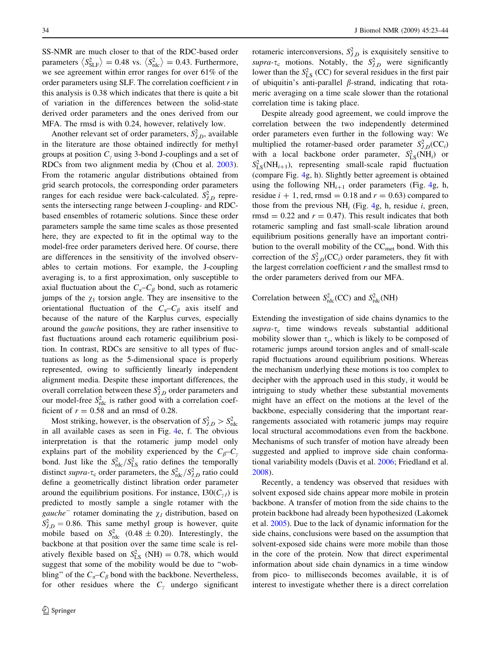SS-NMR are much closer to that of the RDC-based order parameters  $\langle S_{\text{SLF}}^2 \rangle = 0.48 \text{ vs. } \langle S_{\text{rdc}}^2 \rangle = 0.43$ . Furthermore, we see agreement within error ranges for over 61% of the order parameters using SLF. The correlation coefficient  $r$  in this analysis is 0.38 which indicates that there is quite a bit of variation in the differences between the solid-state derived order parameters and the ones derived from our MFA. The rmsd is with 0.24, however, relatively low.

Another relevant set of order parameters,  $S_{J,D}^2$ , available in the literature are those obtained indirectly for methyl groups at position  $C<sub>v</sub>$  using 3-bond J-couplings and a set of RDCs from two alignment media by (Chou et al. [2003](#page-19-0)). From the rotameric angular distributions obtained from grid search protocols, the corresponding order parameters ranges for each residue were back-calculated.  $S_{J,D}^2$  represents the intersecting range between J-coupling- and RDCbased ensembles of rotameric solutions. Since these order parameters sample the same time scales as those presented here, they are expected to fit in the optimal way to the model-free order parameters derived here. Of course, there are differences in the sensitivity of the involved observables to certain motions. For example, the J-coupling averaging is, to a first approximation, only susceptible to axial fluctuation about the  $C_{\alpha}-C_{\beta}$  bond, such as rotameric jumps of the  $\chi_1$  torsion angle. They are insensitive to the orientational fluctuation of the  $C_{\alpha}-C_{\beta}$  axis itself and because of the nature of the Karplus curves, especially around the gauche positions, they are rather insensitive to fast fluctuations around each rotameric equilibrium position. In contrast, RDCs are sensitive to all types of fluctuations as long as the 5-dimensional space is properly represented, owing to sufficiently linearly independent alignment media. Despite these important differences, the overall correlation between these  $S_{J,D}^2$  order parameters and our model-free  $S<sub>rdc</sub><sup>2</sup>$  is rather good with a correlation coefficient of  $r = 0.58$  and an rmsd of 0.28.

Most striking, however, is the observation of  $S_{J,D}^2 > S_{\text{rdc}}^2$ in all available cases as seen in Fig. [4e](#page-10-0), f. The obvious interpretation is that the rotameric jump model only explains part of the mobility experienced by the  $C_{\beta}-C_{\gamma}$ bond. Just like the  $S_{\text{rdc}}^2/S_{\text{LS}}^2$  ratio defines the temporally distinct supra- $\tau_c$  order parameters, the  $S_{\text{rdc}}^2/S_{J,D}^2$  ratio could define a geometrically distinct libration order parameter around the equilibrium positions. For instance,  $130(C_{\gamma l})$  is predicted to mostly sample a single rotamer with the gauche<sup>-</sup> rotamer dominating the  $\chi_l$  distribution, based on  $S_{J,D}^2 = 0.86$ . This same methyl group is however, quite mobile based on  $S_{\text{rdc}}^2$  (0.48  $\pm$  0.20). Interestingly, the backbone at that position over the same time scale is relatively flexible based on  $S_{LS}^2$  (NH) = 0.78, which would suggest that some of the mobility would be due to ''wobbling" of the  $C_{\alpha}-C_{\beta}$  bond with the backbone. Nevertheless, for other residues where the  $C<sub>y</sub>$  undergo significant

rotameric interconversions,  $S_{J,D}^2$  is exquisitely sensitive to supra- $\tau_c$  motions. Notably, the  $S^2_{J,D}$  were significantly lower than the  $S_{LS}^2$  (CC) for several residues in the first pair of ubiquitin's anti-parallel  $\beta$ -strand, indicating that rotameric averaging on a time scale slower than the rotational correlation time is taking place.

Despite already good agreement, we could improve the correlation between the two independently determined order parameters even further in the following way: We multiplied the rotamer-based order parameter  $S^2_{J,D}(\text{CC}_i)$ with a local backbone order parameter,  $S_{LS}^2(NH_i)$  or  $S_{LS}^2(NH_{i+1})$ , representing small-scale rapid fluctuation (compare Fig. [4g](#page-10-0), h). Slightly better agreement is obtained using the following  $NH_{i+1}$  order parameters (Fig. [4g](#page-10-0), h, residue  $i + 1$ , red, rmsd = 0.18 and  $r = 0.63$ ) compared to those from the previous  $NH_i$  (Fig. [4g](#page-10-0), h, residue i, green, rmsd = 0.22 and  $r = 0.47$ ). This result indicates that both rotameric sampling and fast small-scale libration around equilibrium positions generally have an important contribution to the overall mobility of the CC<sub>met</sub> bond. With this correction of the  $S^2_{J,D}(CC_i)$  order parameters, they fit with the largest correlation coefficient  $r$  and the smallest rmsd to the order parameters derived from our MFA.

Correlation between  $S^2_{\text{rdc}}(CC)$  and  $S^2_{\text{rdc}}(NH)$ 

Extending the investigation of side chains dynamics to the  $supra-\tau_c$  time windows reveals substantial additional mobility slower than  $\tau_c$ , which is likely to be composed of rotameric jumps around torsion angles and of small-scale rapid fluctuations around equilibrium positions. Whereas the mechanism underlying these motions is too complex to decipher with the approach used in this study, it would be intriguing to study whether these substantial movements might have an effect on the motions at the level of the backbone, especially considering that the important rearrangements associated with rotameric jumps may require local structural accommodations even from the backbone. Mechanisms of such transfer of motion have already been suggested and applied to improve side chain conformational variability models (Davis et al. [2006](#page-19-0); Friedland et al. [2008](#page-19-0)).

Recently, a tendency was observed that residues with solvent exposed side chains appear more mobile in protein backbone. A transfer of motion from the side chains to the protein backbone had already been hypothesized (Lakomek et al. [2005](#page-20-0)). Due to the lack of dynamic information for the side chains, conclusions were based on the assumption that solvent-exposed side chains were more mobile than those in the core of the protein. Now that direct experimental information about side chain dynamics in a time window from pico- to milliseconds becomes available, it is of interest to investigate whether there is a direct correlation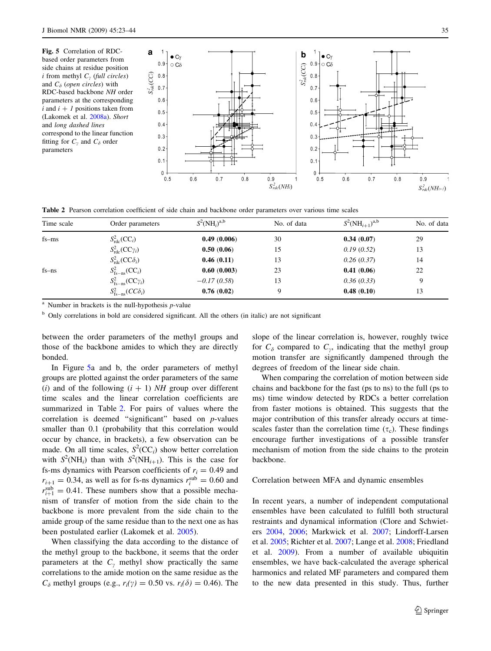Fig. 5 Correlation of RDCbased order parameters from side chains at residue position *i* from methyl  $C_{\gamma}$  (full circles) and  $C_{\delta}$  (open circles) with RDC-based backbone NH order parameters at the corresponding i and  $i + 1$  positions taken from (Lakomek et al. [2008a\)](#page-20-0). Short and long dashed lines correspond to the linear function fitting for  $C_v$  and  $C_\delta$  order parameters



Table 2 Pearson correlation coefficient of side chain and backbone order parameters over various time scales

| Time scale | Order parameters                               | $S^2(NH_i)^{a,b}$ | No. of data | $S^2(NH_{i+1})^{a,b}$ | No. of data |
|------------|------------------------------------------------|-------------------|-------------|-----------------------|-------------|
| $fs - ms$  | $S^2_{\text{rdc}}(CC_i)$                       | 0.49(0.006)       | 30          | 0.34(0.07)            | 29          |
|            | $S^2_{\text{rdc}}(CC\gamma_i)$                 | 0.50(0.06)        | 15          | 0.19(0.52)            | 13          |
|            | $S^2_{\text{rdc}}(CC\delta_i)$                 | 0.46(0.11)        | 13          | 0.26(0.37)            | 14          |
| $fs-ns$    | $S_{\text{fs}-\text{ns}}^2(\text{CC}_i)$       | 0.60(0.003)       | 23          | 0.41(0.06)            | 22          |
|            | $S_{\text{fs}-\text{ns}}^2(\text{CC}\gamma_i)$ | $-0.17(0.58)$     | 13          | 0.36(0.33)            | 9           |
|            | $S_{fs-ns}^2(CC\delta_i)$                      | 0.76(0.02)        | 9           | 0.48(0.10)            | 13          |

<sup>a</sup> Number in brackets is the null-hypothesis  $p$ -value

 $<sup>b</sup>$  Only correlations in bold are considered significant. All the others (in italic) are not significant</sup>

between the order parameters of the methyl groups and those of the backbone amides to which they are directly bonded.

In Figure 5a and b, the order parameters of methyl groups are plotted against the order parameters of the same (i) and of the following  $(i + 1)$  NH group over different time scales and the linear correlation coefficients are summarized in Table 2. For pairs of values where the correlation is deemed "significant" based on *p*-values smaller than 0.1 (probability that this correlation would occur by chance, in brackets), a few observation can be made. On all time scales,  $S^2(CC_i)$  show better correlation with  $S^2(NH_i)$  than with  $S^2(NH_{i+1})$ . This is the case for fs-ms dynamics with Pearson coefficients of  $r_i = 0.49$  and  $r_{i+1} = 0.34$ , as well as for fs-ns dynamics  $r_i^{\text{sub}} = 0.60$  and  $r_{i+1}^{\text{sub}} = 0.41$ . These numbers show that a possible mechanism of transfer of motion from the side chain to the backbone is more prevalent from the side chain to the amide group of the same residue than to the next one as has been postulated earlier (Lakomek et al. [2005\)](#page-20-0).

When classifying the data according to the distance of the methyl group to the backbone, it seems that the order parameters at the  $C_v$  methyl show practically the same correlations to the amide motion on the same residue as the  $C_{\delta}$  methyl groups (e.g.,  $r_i(\gamma) = 0.50$  vs.  $r_i(\delta) = 0.46$ ). The

slope of the linear correlation is, however, roughly twice for  $C_{\delta}$  compared to  $C_{\gamma}$ , indicating that the methyl group motion transfer are significantly dampened through the degrees of freedom of the linear side chain.

When comparing the correlation of motion between side chains and backbone for the fast (ps to ns) to the full (ps to ms) time window detected by RDCs a better correlation from faster motions is obtained. This suggests that the major contribution of this transfer already occurs at timescales faster than the correlation time  $(\tau_c)$ . These findings encourage further investigations of a possible transfer mechanism of motion from the side chains to the protein backbone.

## Correlation between MFA and dynamic ensembles

In recent years, a number of independent computational ensembles have been calculated to fulfill both structural restraints and dynamical information (Clore and Schwieters [2004,](#page-19-0) [2006](#page-19-0); Markwick et al. [2007;](#page-20-0) Lindorff-Larsen et al. [2005;](#page-20-0) Richter et al. [2007;](#page-20-0) Lange et al. [2008;](#page-20-0) Friedland et al. [2009\)](#page-19-0). From a number of available ubiquitin ensembles, we have back-calculated the average spherical harmonics and related MF parameters and compared them to the new data presented in this study. Thus, further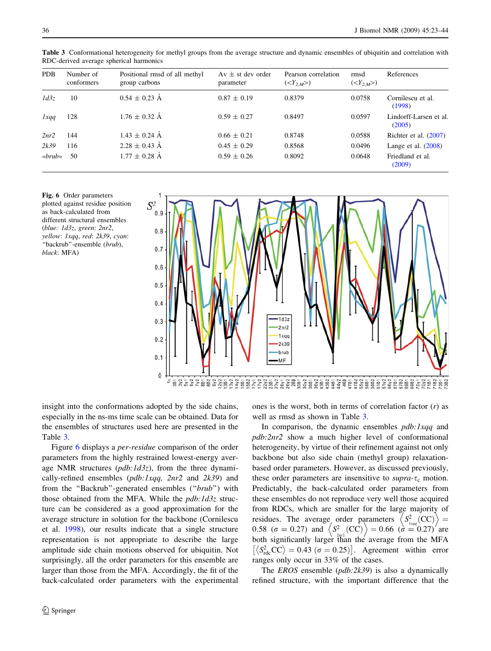| <b>PDB</b>              | Number of<br>conformers | Positional rmsd of all methyl<br>group carbons | $Av \pm st$ dev order<br>parameter | Pearson correlation<br>$()$ | rmsd<br>$()$ | References                       |
|-------------------------|-------------------------|------------------------------------------------|------------------------------------|-----------------------------|--------------|----------------------------------|
| 1d3z                    | 10                      | $0.54 \pm 0.23$ Å                              | $0.87 \pm 0.19$                    | 0.8379                      | 0.0758       | Cornilescu et al.<br>(1998)      |
| lxqq                    | 128                     | $1.76 \pm 0.32$ Å                              | $0.59 \pm 0.27$                    | 0.8497                      | 0.0597       | Lindorff-Larsen et al.<br>(2005) |
| 2nr2                    | 144                     | $1.43 \pm 0.24$ Å                              | $0.66 \pm 0.21$                    | 0.8748                      | 0.0588       | Richter et al. $(2007)$          |
| 2k39                    | 116                     | $2.28 \pm 0.43$ Å                              | $0.45 \pm 0.29$                    | 0.8568                      | 0.0496       | Lange et al. $(2008)$            |
| $\langle \star \rangle$ | 50                      | $1.77 \pm 0.28$ Å                              | $0.59 \pm 0.26$                    | 0.8092                      | 0.0648       | Friedland et al.<br>(2009)       |

Table 3 Conformational heterogeneity for methyl groups from the average structure and dynamic ensembles of ubiquitin and correlation with RDC-derived average spherical harmonics

Fig. 6 Order parameters plotted against residue position as back-calculated from different structural ensembles (blue: 1d3z, green: 2nr2, yellow: 1xqq, red: 2k39, cyan: ''backrub''-ensemble (brub), black: MFA)



insight into the conformations adopted by the side chains, especially in the ns-ms time scale can be obtained. Data for the ensembles of structures used here are presented in the Table 3.

Figure 6 displays a per-residue comparison of the order parameters from the highly restrained lowest-energy average NMR structures  $(\rho db: 1d3z)$ , from the three dynamically-refined ensembles  $(\rho db:1xqq, 2nr2 \text{ and } 2k39)$  and from the "Backrub"-generated ensembles ("brub") with those obtained from the MFA. While the  $pdb:1d3z$  structure can be considered as a good approximation for the average structure in solution for the backbone (Cornilescu et al. [1998](#page-19-0)), our results indicate that a single structure representation is not appropriate to describe the large amplitude side chain motions observed for ubiquitin. Not surprisingly, all the order parameters for this ensemble are larger than those from the MFA. Accordingly, the fit of the back-calculated order parameters with the experimental

<sup>2</sup> Springer

ones is the worst, both in terms of correlation factor  $(r)$  as well as rmsd as shown in Table 3.

In comparison, the dynamic ensembles *pdb*: *lxqq* and pdb:2nr2 show a much higher level of conformational heterogeneity, by virtue of their refinement against not only backbone but also side chain (methyl group) relaxationbased order parameters. However, as discussed previously, these order parameters are insensitive to supra- $\tau_c$  motion. Predictably, the back-calculated order parameters from these ensembles do not reproduce very well those acquired from RDCs, which are smaller for the large majority of From RDCs, which are smaller for the large majority of residues. The average order parameters  $\langle S^2_{1xqq} (CC) \rangle$ residues. The average order parameters  $\langle S_{1xqq}^2(CC) \rangle = 0.58$  ( $\sigma = 0.27$ ) and  $\langle S_{2q2}^2(CC) \rangle = 0.66$  ( $\sigma = 0.27$ ) are both significantly larger than the average from the MFA  $\left[\langle S_{\text{rdc}}^2CC \rangle = 0.43 \ (\sigma = 0.25) \right]$ . Agreement within error ranges only occur in 33% of the cases.

The *EROS* ensemble (*pdb:2k39*) is also a dynamically refined structure, with the important difference that the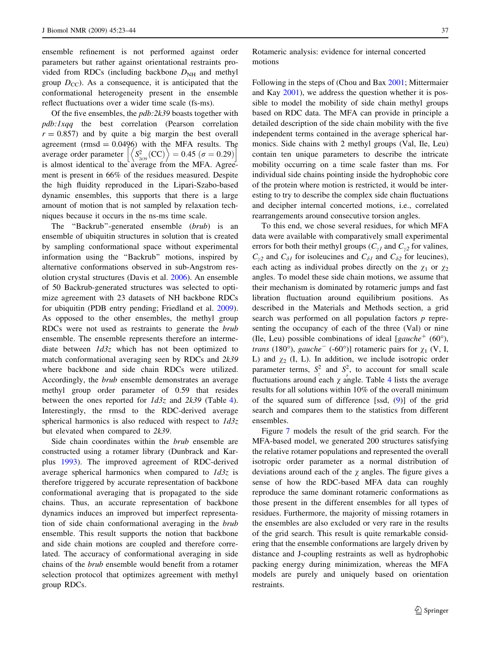ensemble refinement is not performed against order parameters but rather against orientational restraints provided from RDCs (including backbone  $D<sub>NH</sub>$  and methyl group  $D_{CC}$ ). As a consequence, it is anticipated that the conformational heterogeneity present in the ensemble reflect fluctuations over a wider time scale (fs-ms).

Of the five ensembles, the  $pdb$ :  $2k39$  boasts together with pdb:1xqq the best correlation (Pearson correlation  $r = 0.857$ ) and by quite a big margin the best overall agreement (rmsd =  $0.0496$ ) with the MFA results. The agreement (rmsa = 0.0496) with the MFA results. In<br>average order parameter  $\left| \left\langle S_{_{2k39}}^{2}(CC) \right\rangle = 0.45 \left( \sigma = 0.29 \right) \right|$ is almost identical to the average from the MFA. Agreement is present in 66% of the residues measured. Despite the high fluidity reproduced in the Lipari-Szabo-based dynamic ensembles, this supports that there is a large amount of motion that is not sampled by relaxation techniques because it occurs in the ns-ms time scale.

The "Backrub"-generated ensemble (brub) is an ensemble of ubiquitin structures in solution that is created by sampling conformational space without experimental information using the ''Backrub'' motions, inspired by alternative conformations observed in sub-Angstrom resolution crystal structures (Davis et al. [2006](#page-19-0)). An ensemble of 50 Backrub-generated structures was selected to optimize agreement with 23 datasets of NH backbone RDCs for ubiquitin (PDB entry pending; Friedland et al. [2009](#page-19-0)). As opposed to the other ensembles, the methyl group RDCs were not used as restraints to generate the brub ensemble. The ensemble represents therefore an intermediate between  $1d3z$  which has not been optimized to match conformational averaging seen by RDCs and 2k39 where backbone and side chain RDCs were utilized. Accordingly, the brub ensemble demonstrates an average methyl group order parameter of 0.59 that resides between the ones reported for  $1d3z$  and  $2k39$  (Table [4](#page-15-0)). Interestingly, the rmsd to the RDC-derived average spherical harmonics is also reduced with respect to  $1d3z$ but elevated when compared to 2k39.

Side chain coordinates within the brub ensemble are constructed using a rotamer library (Dunbrack and Karplus [1993\)](#page-19-0). The improved agreement of RDC-derived average spherical harmonics when compared to  $1d3z$  is therefore triggered by accurate representation of backbone conformational averaging that is propagated to the side chains. Thus, an accurate representation of backbone dynamics induces an improved but imperfect representation of side chain conformational averaging in the brub ensemble. This result supports the notion that backbone and side chain motions are coupled and therefore correlated. The accuracy of conformational averaging in side chains of the brub ensemble would benefit from a rotamer selection protocol that optimizes agreement with methyl group RDCs.

Rotameric analysis: evidence for internal concerted motions

Following in the steps of (Chou and Bax [2001](#page-19-0); Mittermaier and Kay [2001\)](#page-20-0), we address the question whether it is possible to model the mobility of side chain methyl groups based on RDC data. The MFA can provide in principle a detailed description of the side chain mobility with the five independent terms contained in the average spherical harmonics. Side chains with 2 methyl groups (Val, Ile, Leu) contain ten unique parameters to describe the intricate mobility occurring on a time scale faster than ms. For individual side chains pointing inside the hydrophobic core of the protein where motion is restricted, it would be interesting to try to describe the complex side chain fluctuations and decipher internal concerted motions, i.e., correlated rearrangements around consecutive torsion angles.

To this end, we chose several residues, for which MFA data were available with comparatively small experimental errors for both their methyl groups ( $C_{\gamma I}$  and  $C_{\gamma 2}$  for valines,  $C_{\gamma 2}$  and  $C_{\delta 1}$  for isoleucines and  $C_{\delta 1}$  and  $C_{\delta 2}$  for leucines), each acting as individual probes directly on the  $\chi_1$  or  $\chi_2$ angles. To model these side chain motions, we assume that their mechanism is dominated by rotameric jumps and fast libration fluctuation around equilibrium positions. As described in the Materials and Methods section, a grid search was performed on all population factors  $p$  representing the occupancy of each of the three (Val) or nine (Ile, Leu) possible combinations of ideal [gauche<sup>+</sup> (60°), *trans* (180°), *gauche*<sup>-</sup> (-60°)] rotameric pairs for  $\chi_1$  (V, I, L) and  $\chi_2$  (I, L). In addition, we include isotropic order parameter terms,  $S_{\tau}^2$  and  $S_{\tau}^2$ , to account for small scale fluctuations around each  $\chi$  angle. Table [4](#page-15-0) lists the average results for all solutions within 10% of the overall minimum of the squared sum of difference [ssd, ([9\)](#page-5-0)] of the grid search and compares them to the statistics from different ensembles.

Figure [7](#page-18-0) models the result of the grid search. For the MFA-based model, we generated 200 structures satisfying the relative rotamer populations and represented the overall isotropic order parameter as a normal distribution of deviations around each of the  $\gamma$  angles. The figure gives a sense of how the RDC-based MFA data can roughly reproduce the same dominant rotameric conformations as those present in the different ensembles for all types of residues. Furthermore, the majority of missing rotamers in the ensembles are also excluded or very rare in the results of the grid search. This result is quite remarkable considering that the ensemble conformations are largely driven by distance and J-coupling restraints as well as hydrophobic packing energy during minimization, whereas the MFA models are purely and uniquely based on orientation restraints.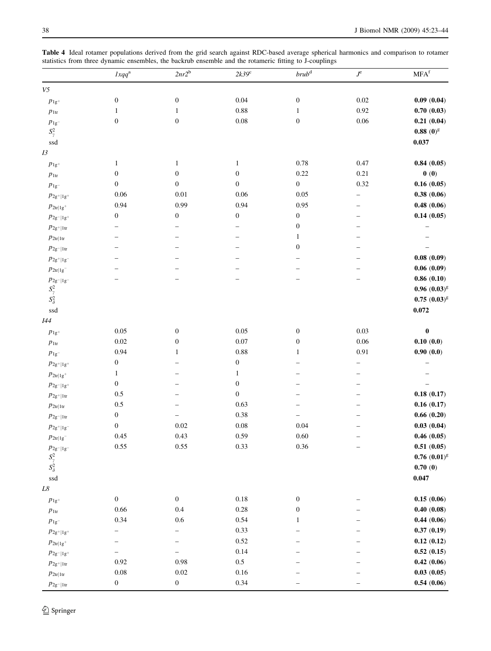<span id="page-15-0"></span>Table 4 Ideal rotamer populations derived from the grid search against RDC-based average spherical harmonics and comparison to rotamer statistics from three dynamic ensembles, the backrub ensemble and the rotameric fitting to J-couplings

|                                                                                        | $lxqq^a$         | $2nr2^b$         | $2k39^{\circ}$   | brub <sup>d</sup> | $J^{\rm e}$              | MFA <sup>f</sup> |
|----------------------------------------------------------------------------------------|------------------|------------------|------------------|-------------------|--------------------------|------------------|
| ${\it V5}$                                                                             |                  |                  |                  |                   |                          |                  |
| $p_{1\mathrm{g}^+}$                                                                    | $\boldsymbol{0}$ | $\boldsymbol{0}$ | 0.04             | $\boldsymbol{0}$  | $0.02\,$                 | 0.09(0.04)       |
| $p_{\rm 1tr}$                                                                          | $\mathbf{1}$     | $\mathbf{1}$     | $0.88\,$         | $\mathbf{1}$      | 0.92                     | 0.70(0.03)       |
| $p_{\rm 1g^-}$                                                                         | $\boldsymbol{0}$ | $\boldsymbol{0}$ | $0.08\,$         | $\boldsymbol{0}$  | $0.06\,$                 | 0.21(0.04)       |
| $S^2_\gamma$                                                                           |                  |                  |                  |                   |                          | $0.88~(0)^g$     |
| ssd                                                                                    |                  |                  |                  |                   |                          | 0.037            |
| $I3$                                                                                   |                  |                  |                  |                   |                          |                  |
| $p_{1\mathrm{g}^+}$                                                                    | $\mathbf{1}$     | $\mathbf{1}$     | $\mathbf{1}$     | $0.78\,$          | 0.47                     | 0.84(0.05)       |
| $p_{\rm 1tr}$                                                                          | $\boldsymbol{0}$ | $\boldsymbol{0}$ | $\boldsymbol{0}$ | 0.22              | 0.21                     | 0(0)             |
| $p_{\rm 1g^-}$                                                                         | $\boldsymbol{0}$ | $\boldsymbol{0}$ | $\boldsymbol{0}$ | $\boldsymbol{0}$  | 0.32                     | 0.16(0.05)       |
| $p_{2\mathsf g^+ \mathsf 1\mathsf g^+}$                                                | $0.06\,$         | $0.01\,$         | 0.06             | 0.05              | $\overline{\phantom{0}}$ | 0.38(0.06)       |
| $p_{\rm 2tr 1g^+}$                                                                     | 0.94             | 0.99             | 0.94             | 0.95              |                          | 0.48(0.06)       |
| $p_{2\mathsf g^- 1\mathsf g^+}$                                                        | $\boldsymbol{0}$ | $\boldsymbol{0}$ | $\boldsymbol{0}$ | $\boldsymbol{0}$  |                          | 0.14(0.05)       |
| $p_{\rm 2g^+ 1tr}$                                                                     |                  |                  |                  | $\boldsymbol{0}$  |                          |                  |
| $p_{2tr 1tr}$                                                                          |                  |                  |                  | 1                 |                          |                  |
| $p_{\rm 2g^- 1tr}$                                                                     |                  |                  |                  | $\boldsymbol{0}$  |                          |                  |
| $p_{2g+ 1g^-}$                                                                         |                  |                  |                  |                   |                          | 0.08(0.09)       |
| $p_{\rm 2tr 1g^-}$                                                                     |                  |                  |                  |                   |                          | 0.06(0.09)       |
| $p_{\rm 2g^- 1g^-}$                                                                    |                  |                  |                  |                   |                          | 0.86(0.10)       |
| $S^2_\gamma$<br>$S^2_\delta$                                                           |                  |                  |                  |                   |                          | $0.96~(0.03)^g$  |
|                                                                                        |                  |                  |                  |                   |                          | $0.75(0.03)^{g}$ |
| ssd                                                                                    |                  |                  |                  |                   |                          | 0.072            |
| 144                                                                                    |                  |                  |                  |                   |                          |                  |
| $p_{1\mathrm{g}^+}$                                                                    | $0.05\,$         | $\boldsymbol{0}$ | 0.05             | $\boldsymbol{0}$  | 0.03                     | $\pmb{0}$        |
| $p_{\rm 1tr}$                                                                          | $0.02\,$         | $\boldsymbol{0}$ | $0.07\,$         | $\boldsymbol{0}$  | 0.06                     | 0.10(0.0)        |
| $p_{\rm 1g^-}$                                                                         | 0.94             | 1                | $0.88\,$         | 1                 | 0.91                     | 0.90(0.0)        |
| $p_{2\mathsf g^+ \mathsf 1\mathsf g^+}$                                                | $\boldsymbol{0}$ |                  | $\boldsymbol{0}$ |                   |                          |                  |
| $p_{\rm 2tr 1g^+}$                                                                     | 1                |                  | 1                |                   |                          |                  |
| $p_{2g^- 1g^+}$                                                                        | $\boldsymbol{0}$ |                  | $\boldsymbol{0}$ |                   |                          |                  |
| $p_{2\mathsf g^+ \mathsf{1tr}}$                                                        | $0.5\,$          |                  | $\boldsymbol{0}$ |                   |                          | 0.18(0.17)       |
| $p_{\rm 2tr 1tr}$                                                                      | $0.5\,$          |                  | 0.63             |                   |                          | 0.16(0.17)       |
| $p_{\rm 2g^- 1tr}$                                                                     | $\boldsymbol{0}$ |                  | $0.38\,$         | -                 |                          | 0.66(0.20)       |
| $p_{2\mathsf g^+ \mathsf 1\mathsf g^-}$                                                | $\boldsymbol{0}$ | $0.02\,$         | $0.08\,$         | 0.04              |                          | 0.03(0.04)       |
| $p_{\rm 2tr 1g^-}$                                                                     | 0.45             | 0.43             | 0.59             | 0.60              |                          | 0.46(0.05)       |
|                                                                                        | $0.55\,$         | 0.55             | 0.33             | $0.36\,$          |                          | $0.51\ (0.05)$   |
| $\begin{array}{l} p_{2\text{g}^- 1\text{g}^-} \\ S_\gamma^2 \\ S_\delta^2 \end{array}$ |                  |                  |                  |                   |                          | $0.76~(0.01)^8$  |
|                                                                                        |                  |                  |                  |                   |                          | 0.70(0)          |
| ssd<br>$L8\,$                                                                          |                  |                  |                  |                   |                          | 0.047            |
| $p_{1\mathrm{g}^+}$                                                                    | $\boldsymbol{0}$ | $\boldsymbol{0}$ | $0.18\,$         | $\boldsymbol{0}$  |                          | 0.15(0.06)       |
| $p_{\rm 1tr}$                                                                          | 0.66             | $0.4\,$          | $0.28\,$         | $\boldsymbol{0}$  |                          | 0.40(0.08)       |
| $p_{\rm 1g^-}$                                                                         | 0.34             | $0.6\,$          | 0.54             | 1                 |                          | 0.44(0.06)       |
| $p_{2\mathsf g^+ \mathsf 1\mathsf g^+}$                                                |                  | -                | 0.33             |                   |                          | 0.37(0.19)       |
|                                                                                        |                  |                  | $0.52\,$         |                   |                          | 0.12(0.12)       |
| $p_{2\text{tr}   1 \text{g}^+}$<br>$p_{2\mathsf g^- 1\mathsf g^+}$                     |                  |                  | 0.14             |                   |                          | 0.52(0.15)       |
| $p_{2g+ 1tr}$                                                                          | $0.92\,$         | $0.98\,$         | $0.5\,$          |                   |                          | 0.42(0.06)       |
| $p_{\rm 2tr 1tr}$                                                                      | $0.08\,$         | $0.02\,$         | 0.16             |                   |                          | 0.03(0.05)       |
| $p_{\rm 2g^- 1tr}$                                                                     | $\boldsymbol{0}$ | $\boldsymbol{0}$ | 0.34             |                   |                          | 0.54(0.06)       |
|                                                                                        |                  |                  |                  |                   |                          |                  |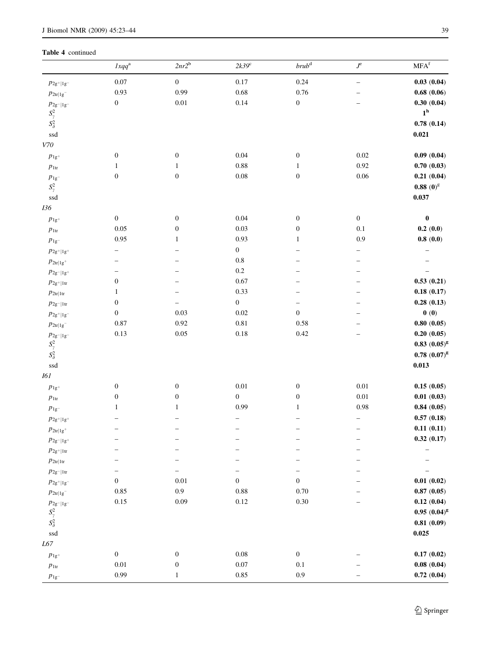|                                         | $lxqq^a$         | $2nr2^b$         | $2k39^{\circ}$   | $brub^{\rm d}$   | $J^{\rm e}$              | $\mathbf{MFA}^\mathrm{f}$ |
|-----------------------------------------|------------------|------------------|------------------|------------------|--------------------------|---------------------------|
| $p_{2g+ 1g^-}$                          | $0.07\,$         | $\boldsymbol{0}$ | $0.17\,$         | 0.24             | $\overline{\phantom{0}}$ | 0.03(0.04)                |
| $p_{\rm 2tr 1g^-}$                      | 0.93             | 0.99             | 0.68             | 0.76             |                          | 0.68(0.06)                |
| $p_{2\mathrm{g}^- 1\mathrm{g}^-}$       | $\boldsymbol{0}$ | $0.01\,$         | 0.14             | $\boldsymbol{0}$ |                          | 0.30(0.04)                |
|                                         |                  |                  |                  |                  |                          | $1^{\rm h}$               |
| $S^2_\gamma$<br>$S^2_\delta$            |                  |                  |                  |                  |                          | 0.78(0.14)                |
| ssd                                     |                  |                  |                  |                  |                          | 0.021                     |
| $V\!70$                                 |                  |                  |                  |                  |                          |                           |
| $p_{1\mathrm{g}^+}$                     | $\boldsymbol{0}$ | $\boldsymbol{0}$ | 0.04             | $\boldsymbol{0}$ | $0.02\,$                 | 0.09(0.04)                |
| $p_{\rm 1tr}$                           | $\mathbf{1}$     | $\mathbf{1}$     | $0.88\,$         | $\mathbf{1}$     | 0.92                     | 0.70(0.03)                |
| $p_{\rm 1g^-}$                          | $\boldsymbol{0}$ | $\boldsymbol{0}$ | $0.08\,$         | $\boldsymbol{0}$ | 0.06                     | 0.21(0.04)                |
| $S^2_\gamma$                            |                  |                  |                  |                  |                          | $0.88~(0)^\mathrm{g}$     |
| ssd                                     |                  |                  |                  |                  |                          | 0.037                     |
| 136                                     |                  |                  |                  |                  |                          |                           |
| $p_{1\mathrm{g}^+}$                     | $\boldsymbol{0}$ | $\boldsymbol{0}$ | $0.04\,$         | $\boldsymbol{0}$ | $\boldsymbol{0}$         | $\boldsymbol{0}$          |
| $p_{\rm 1tr}$                           | 0.05             | $\boldsymbol{0}$ | 0.03             | $\boldsymbol{0}$ | $0.1\,$                  | 0.2(0.0)                  |
| $p_{\rm 1g^-}$                          | $0.95\,$         | $\mathbf{1}$     | 0.93             | $\mathbf{1}$     | 0.9                      | 0.8(0.0)                  |
| $p_{2\mathsf g^+ \mathsf 1\mathsf g^+}$ |                  |                  | $\boldsymbol{0}$ |                  |                          |                           |
| $p_{\rm 2tr 1g^+}$                      |                  |                  | $\rm 0.8$        |                  |                          |                           |
| $p_{2\mathsf g^- 1\mathsf g^+}$         |                  |                  | $0.2\,$          |                  |                          |                           |
| $p_{\rm 2g^+ 1tr}$                      | $\boldsymbol{0}$ |                  | 0.67             |                  |                          | 0.53(0.21)                |
| $p_{\rm 2tr 1tr}$                       | $\mathbf{1}$     |                  | 0.33             |                  |                          | 0.18(0.17)                |
| $p_{\rm 2g^- 1tr}$                      | $\boldsymbol{0}$ |                  | $\boldsymbol{0}$ | -                |                          | 0.28(0.13)                |
| $p_{2\mathsf g^+ \mathsf 1\mathsf g^-}$ | $\boldsymbol{0}$ | 0.03             | $0.02\,$         | $\boldsymbol{0}$ |                          | 0(0)                      |
| $p_{\rm 2tr 1g^-}$                      | 0.87             | 0.92             | $0.81\,$         | 0.58             |                          | 0.80(0.05)                |
| $p_{2\mathrm{g}^{-} 1\mathrm{g}^{-}}$   | $0.13\,$         | 0.05             | $0.18\,$         | 0.42             |                          | 0.20(0.05)                |
| $S^2_\gamma$<br>$S^2_\delta$            |                  |                  |                  |                  |                          | $0.83~(0.05)^g$           |
|                                         |                  |                  |                  |                  |                          | $0.78~(0.07)^g$           |
| ssd                                     |                  |                  |                  |                  |                          | 0.013                     |
| I6I                                     |                  |                  |                  |                  |                          |                           |
| $p_{1\mathrm{g}^+}$                     | $\boldsymbol{0}$ | $\boldsymbol{0}$ | $0.01\,$         | $\boldsymbol{0}$ | $0.01\,$                 | 0.15(0.05)                |
| $p_{\rm 1tr}$                           | $\boldsymbol{0}$ | $\boldsymbol{0}$ | $\boldsymbol{0}$ | $\boldsymbol{0}$ | $0.01\,$                 | 0.01(0.03)                |
| $p_{\rm 1g^-}$                          | $\mathbf{1}$     | $\mathbf{1}$     | 0.99             | 1                | 0.98                     | 0.84(0.05)                |
| $p_{2\mathsf g^+ \mathsf 1\mathsf g^+}$ |                  |                  | -                |                  | -                        | 0.57(0.18)                |
| $p_{2\text{tr}   1g^+}$                 |                  |                  |                  |                  |                          | 0.11(0.11)                |
| $p_{\rm 2g^- 1g^+}$                     |                  |                  |                  |                  |                          | 0.32(0.17)                |
| $p_{\rm 2g^+ 1tr}$                      |                  |                  |                  |                  |                          |                           |
| $p_{\rm 2tr 1tr}$                       |                  |                  |                  |                  |                          |                           |
| $p_{\rm 2g^- 1tr}$                      |                  |                  |                  |                  |                          |                           |
| $p_{2g+ 1g^-}$                          | $\boldsymbol{0}$ | $0.01\,$         | $\boldsymbol{0}$ | $\boldsymbol{0}$ |                          | 0.01(0.02)                |
| $p_{\rm 2tr 1g^-}$                      | $0.85\,$         | $0.9\,$          | $\rm 0.88$       | 0.70             |                          | 0.87(0.05)                |
| $p_{\rm 2g^- 1g^-}$                     | $0.15\,$         | 0.09             | $0.12\,$         | $0.30\,$         |                          | 0.12(0.04)                |
| $S^2_\gamma$<br>$S^2_\delta$            |                  |                  |                  |                  |                          | $0.95~(0.04)^g$           |
|                                         |                  |                  |                  |                  |                          | 0.81(0.09)                |
| ssd                                     |                  |                  |                  |                  |                          | 0.025                     |
| $L67\,$                                 |                  |                  |                  |                  |                          |                           |
| $p_{1\mathrm{g}^+}$                     | $\boldsymbol{0}$ | $\boldsymbol{0}$ | $0.08\,$         | $\boldsymbol{0}$ |                          | 0.17(0.02)                |
| $p_{\rm 1tr}$                           | $0.01\,$         | $\boldsymbol{0}$ | 0.07             | $0.1\,$          |                          | 0.08(0.04)                |
| $p_{\rm 1g^-}$                          | 0.99             | $\mathbf{1}$     | $0.85\,$         | $\rm 0.9$        |                          | 0.72(0.04)                |

Table 4 continued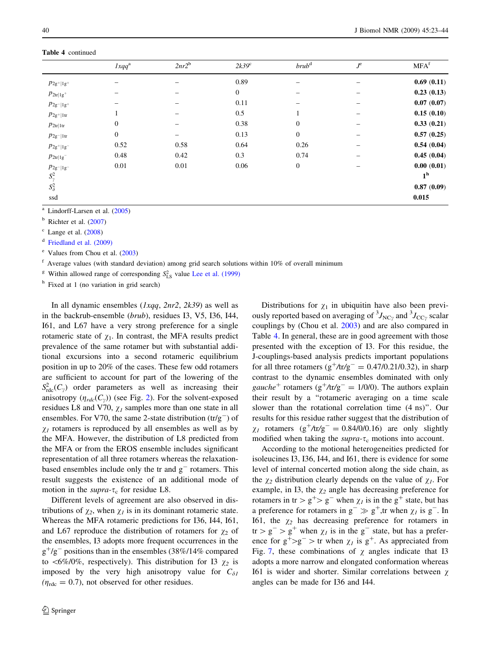|                                   | $lxqq^a$         | $2nr2^b$ | $2k39^{\circ}$ | brub <sup>d</sup>        | $J^e$ | MFA <sup>f</sup> |
|-----------------------------------|------------------|----------|----------------|--------------------------|-------|------------------|
| $P_{2g+ 1g+}$                     | -                |          | 0.89           | $\overline{\phantom{0}}$ | -     | 0.69(0.11)       |
| $p_{2\text{tr}   1g^+}$           |                  |          | $\mathbf{0}$   |                          |       | 0.23(0.13)       |
| $p_{2g- 1g^+}$                    |                  |          | 0.11           |                          |       | 0.07(0.07)       |
| $p_{2g+ 1tr}$                     |                  |          | 0.5            |                          | -     | 0.15(0.10)       |
| $p_{2\text{tr} 1\text{tr}}$       | $\boldsymbol{0}$ |          | 0.38           | $\boldsymbol{0}$         | -     | 0.33(0.21)       |
| $p_{2g- 1tr}$                     | $\overline{0}$   |          | 0.13           | $\mathbf{0}$             | -     | 0.57(0.25)       |
| $p_{2\mathrm{g}^+ 1\mathrm{g}^-}$ | 0.52             | 0.58     | 0.64           | 0.26                     | -     | 0.54(0.04)       |
| $p_{2\text{tr}   1g^-}$           | 0.48             | 0.42     | 0.3            | 0.74                     |       | 0.45(0.04)       |
| $p_{2\mathsf g^- 1\mathsf g^-}$   | 0.01             | 0.01     | 0.06           | $\mathbf{0}$             |       | 0.00(0.01)       |
| $S^2_{\gamma}$                    |                  |          |                |                          |       | 1 <sup>h</sup>   |
| $S^2_\delta$                      |                  |          |                |                          |       | 0.87(0.09)       |
| ssd                               |                  |          |                |                          |       | 0.015            |

<sup>a</sup> Lindorff-Larsen et al. ([2005\)](#page-20-0)

 $<sup>b</sup>$  Richter et al. [\(2007](#page-20-0))</sup>

 $\degree$  Lange et al. [\(2008](#page-20-0))

<sup>d</sup> [Friedland et al. \(2009\)](#page-19-0)

<sup>e</sup> Values from Chou et al. ([2003\)](#page-19-0)

 $<sup>f</sup>$  Average values (with standard deviation) among grid search solutions within 10% of overall minimum</sup>

<sup>g</sup> Within allowed range of corresponding  $S_{LS}^2$  value [Lee et al. \(1999\)](#page-20-0)

<sup>h</sup> Fixed at 1 (no variation in grid search)

In all dynamic ensembles  $(Ixqq, 2nr2, 2k39)$  as well as in the backrub-ensemble (brub), residues I3, V5, I36, I44, I61, and L67 have a very strong preference for a single rotameric state of  $\chi_1$ . In contrast, the MFA results predict prevalence of the same rotamer but with substantial additional excursions into a second rotameric equilibrium position in up to 20% of the cases. These few odd rotamers are sufficient to account for part of the lowering of the  $S^2_{\text{rdc}}(C_\gamma)$  order parameters as well as increasing their anisotropy  $(\eta_{rdc}(C_\gamma))$  (see Fig. [2\)](#page-6-0). For the solvent-exposed residues L8 and V70,  $\chi_l$  samples more than one state in all ensembles. For V70, the same 2-state distribution  $(tr/g^-)$  of  $\chi_1$  rotamers is reproduced by all ensembles as well as by the MFA. However, the distribution of L8 predicted from the MFA or from the EROS ensemble includes significant representation of all three rotamers whereas the relaxationbased ensembles include only the  $tr$  and  $g^-$  rotamers. This result suggests the existence of an additional mode of motion in the supra- $\tau_c$  for residue L8.

Different levels of agreement are also observed in distributions of  $\chi_2$ , when  $\chi_1$  is in its dominant rotameric state. Whereas the MFA rotameric predictions for I36, I44, I61, and L67 reproduce the distribution of rotamers for  $\chi_2$  of the ensembles, I3 adopts more frequent occurrences in the  $g^{+}/g^{-}$  positions than in the ensembles (38%/14% compared to  $\langle 6\% / 0\%$ , respectively). This distribution for I3  $\chi_2$  is imposed by the very high anisotropy value for  $C_{\delta}$  $(\eta_{\text{rdc}} = 0.7)$ , not observed for other residues.

Distributions for  $\chi_1$  in ubiquitin have also been previously reported based on averaging of  $\rm{^{3}J_{NC}}$  and  $\rm{^{3}J_{CC}}$  scalar couplings by (Chou et al. [2003\)](#page-19-0) and are also compared in Table [4](#page-15-0). In general, these are in good agreement with those presented with the exception of I3. For this residue, the J-couplings-based analysis predicts important populations for all three rotamers ( $g^+$ /tr/ $g^-$  = 0.47/0.21/0.32), in sharp contrast to the dynamic ensembles dominated with only gauche<sup>+</sup> rotamers ( $g^+$ /tr/ $g^-$  = 1/0/0). The authors explain their result by a ''rotameric averaging on a time scale slower than the rotational correlation time (4 ns)''. Our results for this residue rather suggest that the distribution of  $\chi_1$  rotamers (g<sup>+</sup>/tr/g<sup>-</sup> = 0.84/0/0.16) are only slightly modified when taking the  $\text{supra-}\tau_c$  motions into account.

According to the motional heterogeneities predicted for isoleucines I3, I36, I44, and I61, there is evidence for some level of internal concerted motion along the side chain, as the  $\chi_2$  distribution clearly depends on the value of  $\chi_1$ . For example, in I3, the  $\chi_2$  angle has decreasing preference for rotamers in tr >  $g^+$ >  $g^-$  when  $\chi_l$  is in the  $g^+$  state, but has a preference for rotamers in  $g^- \gg g^+$ ,tr when  $\chi_l$  is  $g^-$ . In I61, the  $\chi_2$  has decreasing preference for rotamers in  $tr> g^- > g^+$  when  $\chi_l$  is in the g<sup>-</sup> state, but has a preference for  $g^+>g^-$  > tr when  $\chi_I$  is  $g^+$ . As appreciated from Fig. [7](#page-18-0), these combinations of  $\chi$  angles indicate that I3 adopts a more narrow and elongated conformation whereas I61 is wider and shorter. Similar correlations between  $\chi$ angles can be made for I36 and I44.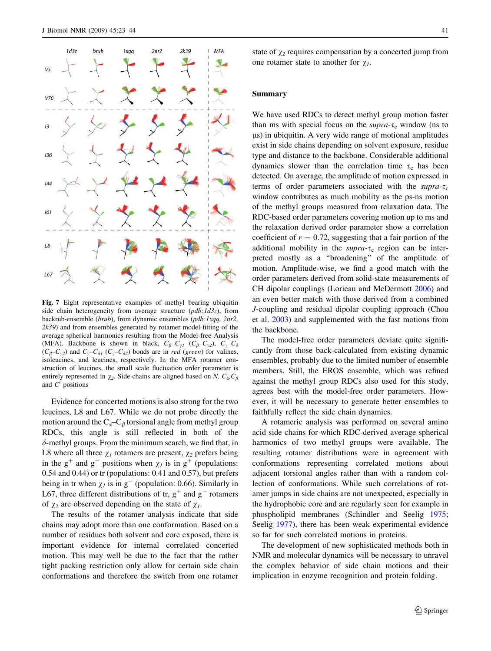<span id="page-18-0"></span>

Fig. 7 Eight representative examples of methyl bearing ubiquitin side chain heterogeneity from average structure  $(\rho db: Id3z)$ , from backrub-ensemble (brub), from dynamic ensembles (pdb:1xqq, 2nr2, 2k39) and from ensembles generated by rotamer model-fitting of the average spherical harmonics resulting from the Model-free Analysis (MFA). Backbone is shown in black,  $C_{\beta}-C_{\gamma 1}$  ( $C_{\beta}-C_{\gamma 2}$ ),  $C_{\gamma}-C_{\delta}$  $(C_\beta - C_{\gamma 2})$  and  $C_\gamma - C_{\delta 1}$   $(C_\gamma - C_{\delta 2})$  bonds are in *red (green)* for valines, isoleucines, and leucines, respectively. In the MFA rotamer construction of leucines, the small scale fluctuation order parameter is entirely represented in  $\chi_2$ . Side chains are aligned based on N,  $C_{\alpha}$ ,  $C_{\beta}$ and  $C'$  positions

Evidence for concerted motions is also strong for the two leucines, L8 and L67. While we do not probe directly the motion around the  $C_{\alpha}-C_{\beta}$  torsional angle from methyl group RDCs, this angle is still reflected in both of the  $\delta$ -methyl groups. From the minimum search, we find that, in L8 where all three  $\chi_1$  rotamers are present,  $\chi_2$  prefers being in the g<sup>+</sup> and g<sup>-</sup> positions when  $\chi_l$  is in g<sup>+</sup> (populations: 0.54 and 0.44) or tr (populations: 0.41 and 0.57), but prefers being in tr when  $\chi_l$  is in g<sup>-</sup> (population: 0.66). Similarly in L67, three different distributions of tr,  $g^+$  and  $g^-$  rotamers of  $\chi_2$  are observed depending on the state of  $\chi_1$ .

The results of the rotamer analysis indicate that side chains may adopt more than one conformation. Based on a number of residues both solvent and core exposed, there is important evidence for internal correlated concerted motion. This may well be due to the fact that the rather tight packing restriction only allow for certain side chain conformations and therefore the switch from one rotamer state of  $\chi_2$  requires compensation by a concerted jump from one rotamer state to another for  $\chi_1$ .

#### Summary

We have used RDCs to detect methyl group motion faster than ms with special focus on the supra- $\tau_c$  window (ns to ls) in ubiquitin. A very wide range of motional amplitudes exist in side chains depending on solvent exposure, residue type and distance to the backbone. Considerable additional dynamics slower than the correlation time  $\tau_c$  has been detected. On average, the amplitude of motion expressed in terms of order parameters associated with the supra- $\tau_c$ window contributes as much mobility as the ps-ns motion of the methyl groups measured from relaxation data. The RDC-based order parameters covering motion up to ms and the relaxation derived order parameter show a correlation coefficient of  $r = 0.72$ , suggesting that a fair portion of the additional mobility in the supra- $\tau_c$  region can be interpreted mostly as a ''broadening'' of the amplitude of motion. Amplitude-wise, we find a good match with the order parameters derived from solid-state measurements of CH dipolar couplings (Lorieau and McDermott [2006](#page-20-0)) and an even better match with those derived from a combined J-coupling and residual dipolar coupling approach (Chou et al. [2003](#page-19-0)) and supplemented with the fast motions from the backbone.

The model-free order parameters deviate quite significantly from those back-calculated from existing dynamic ensembles, probably due to the limited number of ensemble members. Still, the EROS ensemble, which was refined against the methyl group RDCs also used for this study, agrees best with the model-free order parameters. However, it will be necessary to generate better ensembles to faithfully reflect the side chain dynamics.

A rotameric analysis was performed on several amino acid side chains for which RDC-derived average spherical harmonics of two methyl groups were available. The resulting rotamer distributions were in agreement with conformations representing correlated motions about adjacent torsional angles rather than with a random collection of conformations. While such correlations of rotamer jumps in side chains are not unexpected, especially in the hydrophobic core and are regularly seen for example in phospholipid membranes (Schindler and Seelig [1975](#page-20-0); Seelig [1977\)](#page-20-0), there has been weak experimental evidence so far for such correlated motions in proteins.

The development of new sophisticated methods both in NMR and molecular dynamics will be necessary to unravel the complex behavior of side chain motions and their implication in enzyme recognition and protein folding.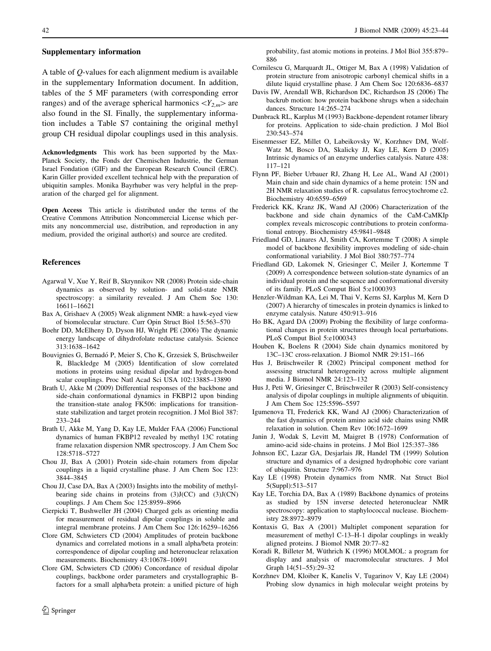<span id="page-19-0"></span>A table of Q-values for each alignment medium is available in the supplementary Information document. In addition, tables of the 5 MF parameters (with corresponding error ranges) and of the average spherical harmonics  $\langle Y_{2,m} \rangle$  are also found in the SI. Finally, the supplementary information includes a Table S7 containing the original methyl group CH residual dipolar couplings used in this analysis.

Acknowledgments This work has been supported by the Max-Planck Society, the Fonds der Chemischen Industrie, the German Israel Fondation (GIF) and the European Research Council (ERC). Karin Giller provided excellent technical help with the preparation of ubiquitin samples. Monika Bayrhuber was very helpful in the preparation of the charged gel for alignment.

Open Access This article is distributed under the terms of the Creative Commons Attribution Noncommercial License which permits any noncommercial use, distribution, and reproduction in any medium, provided the original author(s) and source are credited.

#### References

- Agarwal V, Xue Y, Reif B, Skrynnikov NR (2008) Protein side-chain dynamics as observed by solution- and solid-state NMR spectroscopy: a similarity revealed. J Am Chem Soc 130: 16611–16621
- Bax A, Grishaev A (2005) Weak alignment NMR: a hawk-eyed view of biomolecular structure. Curr Opin Struct Biol 15:563–570
- Boehr DD, McElheny D, Dyson HJ, Wright PE (2006) The dynamic energy landscape of dihydrofolate reductase catalysis. Science 313:1638–1642
- Bouvignies G, Bernadó P, Meier S, Cho K, Grzesiek S, Brüschweiler R, Blackledge M (2005) Identification of slow correlated motions in proteins using residual dipolar and hydrogen-bond scalar couplings. Proc Natl Acad Sci USA 102:13885–13890
- Brath U, Akke M (2009) Differential responses of the backbone and side-chain conformational dynamics in FKBP12 upon binding the transition-state analog FK506: implications for transitionstate stabilization and target protein recognition. J Mol Biol 387: 233–244
- Brath U, Akke M, Yang D, Kay LE, Mulder FAA (2006) Functional dynamics of human FKBP12 revealed by methyl 13C rotating frame relaxation dispersion NMR spectroscopy. J Am Chem Soc 128:5718–5727
- Chou JJ, Bax A (2001) Protein side-chain rotamers from dipolar couplings in a liquid crystalline phase. J Am Chem Soc 123: 3844–3845
- Chou JJ, Case DA, Bax A (2003) Insights into the mobility of methylbearing side chains in proteins from (3)J(CC) and (3)J(CN) couplings. J Am Chem Soc 125:8959–8966
- Cierpicki T, Bushweller JH (2004) Charged gels as orienting media for measurement of residual dipolar couplings in soluble and integral membrane proteins. J Am Chem Soc 126:16259–16266
- Clore GM, Schwieters CD (2004) Amplitudes of protein backbone dynamics and correlated motions in a small alpha/beta protein: correspondence of dipolar coupling and heteronuclear relaxation measurements. Biochemistry 43:10678–10691
- Clore GM, Schwieters CD (2006) Concordance of residual dipolar couplings, backbone order parameters and crystallographic Bfactors for a small alpha/beta protein: a unified picture of high

probability, fast atomic motions in proteins. J Mol Biol 355:879– 886

- Cornilescu G, Marquardt JL, Ottiger M, Bax A (1998) Validation of protein structure from anisotropic carbonyl chemical shifts in a dilute liquid crystalline phase. J Am Chem Soc 120:6836–6837
- Davis IW, Arendall WB, Richardson DC, Richardson JS (2006) The backrub motion: how protein backbone shrugs when a sidechain dances. Structure 14:265–274
- Dunbrack RL, Karplus M (1993) Backbone-dependent rotamer library for proteins. Application to side-chain prediction. J Mol Biol 230:543–574
- Eisenmesser EZ, Millet O, Labeikovsky W, Korzhnev DM, Wolf-Watz M, Bosco DA, Skalicky JJ, Kay LE, Kern D (2005) Intrinsic dynamics of an enzyme underlies catalysis. Nature 438: 117–121
- Flynn PF, Bieber Urbauer RJ, Zhang H, Lee AL, Wand AJ (2001) Main chain and side chain dynamics of a heme protein: 15N and 2H NMR relaxation studies of R. capsulatus ferrocytochrome c2. Biochemistry 40:6559–6569
- Frederick KK, Kranz JK, Wand AJ (2006) Characterization of the backbone and side chain dynamics of the CaM-CaMKIp complex reveals microscopic contributions to protein conformational entropy. Biochemistry 45:9841–9848
- Friedland GD, Linares AJ, Smith CA, Kortemme T (2008) A simple model of backbone flexibility improves modeling of side-chain conformational variability. J Mol Biol 380:757–774
- Friedland GD, Lakomek N, Griesinger C, Meiler J, Kortemme T (2009) A correspondence between solution-state dynamics of an individual protein and the sequence and conformational diversity of its family. PLoS Comput Biol 5:e1000393
- Henzler-Wildman KA, Lei M, Thai V, Kerns SJ, Karplus M, Kern D (2007) A hierarchy of timescales in protein dynamics is linked to enzyme catalysis. Nature 450:913–916
- Ho BK, Agard DA (2009) Probing the flexibility of large conformational changes in protein structures through local perturbations. PLoS Comput Biol 5:e1000343
- Houben K, Boelens R (2004) Side chain dynamics monitored by 13C–13C cross-relaxation. J Biomol NMR 29:151–166
- Hus J, Brüschweiler R (2002) Principal component method for assessing structural heterogeneity across multiple alignment media. J Biomol NMR 24:123–132
- Hus J, Peti W, Griesinger C, Brüschweiler R (2003) Self-consistency analysis of dipolar couplings in multiple alignments of ubiquitin. J Am Chem Soc 125:5596–5597
- Igumenova TI, Frederick KK, Wand AJ (2006) Characterization of the fast dynamics of protein amino acid side chains using NMR relaxation in solution. Chem Rev 106:1672–1699
- Janin J, Wodak S, Levitt M, Maigret B (1978) Conformation of amino-acid side-chains in proteins. J Mol Biol 125:357–386
- Johnson EC, Lazar GA, Desjarlais JR, Handel TM (1999) Solution structure and dynamics of a designed hydrophobic core variant of ubiquitin. Structure 7:967–976
- Kay LE (1998) Protein dynamics from NMR. Nat Struct Biol 5(Suppl):513–517
- Kay LE, Torchia DA, Bax A (1989) Backbone dynamics of proteins as studied by 15N inverse detected heteronuclear NMR spectroscopy: application to staphylococcal nuclease. Biochemistry 28:8972–8979
- Kontaxis G, Bax A (2001) Multiplet component separation for measurement of methyl C-13–H-1 dipolar couplings in weakly aligned proteins. J Biomol NMR 20:77–82
- Koradi R, Billeter M, Wüthrich K (1996) MOLMOL: a program for display and analysis of macromolecular structures. J Mol Graph 14(51–55):29–32
- Korzhnev DM, Kloiber K, Kanelis V, Tugarinov V, Kay LE (2004) Probing slow dynamics in high molecular weight proteins by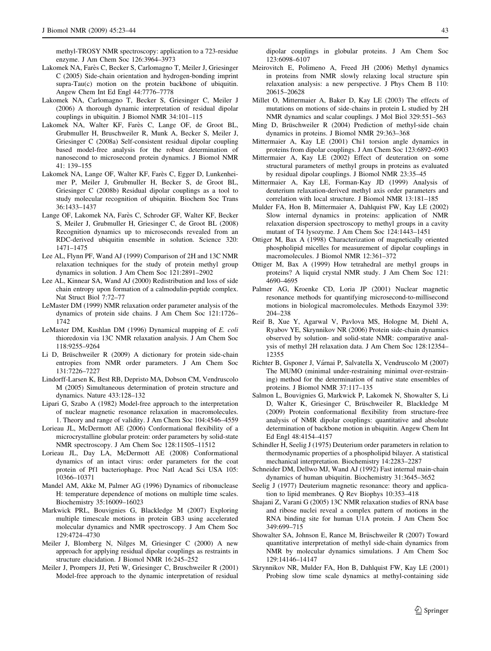<span id="page-20-0"></span>methyl-TROSY NMR spectroscopy: application to a 723-residue enzyme. J Am Chem Soc 126:3964–3973

- Lakomek NA, Farès C, Becker S, Carlomagno T, Meiler J, Griesinger C (2005) Side-chain orientation and hydrogen-bonding imprint supra-Tau(c) motion on the protein backbone of ubiquitin. Angew Chem Int Ed Engl 44:7776–7778
- Lakomek NA, Carlomagno T, Becker S, Griesinger C, Meiler J (2006) A thorough dynamic interpretation of residual dipolar couplings in ubiquitin. J Biomol NMR 34:101–115
- Lakomek NA, Walter KF, Farès C, Lange OF, de Groot BL, Grubmuller H, Bruschweiler R, Munk A, Becker S, Meiler J, Griesinger C (2008a) Self-consistent residual dipolar coupling based model-free analysis for the robust determination of nanosecond to microsecond protein dynamics. J Biomol NMR 41: 139–155
- Lakomek NA, Lange OF, Walter KF, Farès C, Egger D, Lunkenheimer P, Meiler J, Grubmuller H, Becker S, de Groot BL, Griesinger C (2008b) Residual dipolar couplings as a tool to study molecular recognition of ubiquitin. Biochem Soc Trans 36:1433–1437
- Lange OF, Lakomek NA, Farès C, Schroder GF, Walter KF, Becker S, Meiler J, Grubmuller H, Griesinger C, de Groot BL (2008) Recognition dynamics up to microseconds revealed from an RDC-derived ubiquitin ensemble in solution. Science 320: 1471–1475
- Lee AL, Flynn PF, Wand AJ (1999) Comparison of 2H and 13C NMR relaxation techniques for the study of protein methyl group dynamics in solution. J Am Chem Soc 121:2891–2902
- Lee AL, Kinnear SA, Wand AJ (2000) Redistribution and loss of side chain entropy upon formation of a calmodulin-peptide complex. Nat Struct Biol 7:72–77
- LeMaster DM (1999) NMR relaxation order parameter analysis of the dynamics of protein side chains. J Am Chem Soc 121:1726– 1742
- LeMaster DM, Kushlan DM (1996) Dynamical mapping of E. coli thioredoxin via 13C NMR relaxation analysis. J Am Chem Soc 118:9255–9264
- Li D, Brüschweiler R (2009) A dictionary for protein side-chain entropies from NMR order parameters. J Am Chem Soc 131:7226–7227
- Lindorff-Larsen K, Best RB, Depristo MA, Dobson CM, Vendruscolo M (2005) Simultaneous determination of protein structure and dynamics. Nature 433:128–132
- Lipari G, Szabo A (1982) Model-free approach to the interpretation of nuclear magnetic resonance relaxation in macromolecules. 1. Theory and range of validity. J Am Chem Soc 104:4546–4559
- Lorieau JL, McDermott AE (2006) Conformational flexibility of a microcrystalline globular protein: order parameters by solid-state NMR spectroscopy. J Am Chem Soc 128:11505–11512
- Lorieau JL, Day LA, McDermott AE (2008) Conformational dynamics of an intact virus: order parameters for the coat protein of Pf1 bacteriophage. Proc Natl Acad Sci USA 105: 10366–10371
- Mandel AM, Akke M, Palmer AG (1996) Dynamics of ribonuclease H: temperature dependence of motions on multiple time scales. Biochemistry 35:16009–16023
- Markwick PRL, Bouvignies G, Blackledge M (2007) Exploring multiple timescale motions in protein GB3 using accelerated molecular dynamics and NMR spectroscopy. J Am Chem Soc 129:4724–4730
- Meiler J, Blomberg N, Nilges M, Griesinger C (2000) A new approach for applying residual dipolar couplings as restraints in structure elucidation. J Biomol NMR 16:245–252
- Meiler J, Prompers JJ, Peti W, Griesinger C, Bruschweiler R (2001) Model-free approach to the dynamic interpretation of residual

dipolar couplings in globular proteins. J Am Chem Soc 123:6098–6107

- Meirovitch E, Polimeno A, Freed JH (2006) Methyl dynamics in proteins from NMR slowly relaxing local structure spin relaxation analysis: a new perspective. J Phys Chem B 110: 20615–20628
- Millet O, Mittermaier A, Baker D, Kay LE (2003) The effects of mutations on motions of side-chains in protein L studied by 2H NMR dynamics and scalar couplings. J Mol Biol 329:551–563
- Ming D, Brüschweiler R (2004) Prediction of methyl-side chain dynamics in proteins. J Biomol NMR 29:363–368
- Mittermaier A, Kay LE (2001) Chi1 torsion angle dynamics in proteins from dipolar couplings. J Am Chem Soc 123:6892–6903
- Mittermaier A, Kay LE (2002) Effect of deuteration on some structural parameters of methyl groups in proteins as evaluated by residual dipolar couplings. J Biomol NMR 23:35–45
- Mittermaier A, Kay LE, Forman-Kay JD (1999) Analysis of deuterium relaxation-derived methyl axis order parameters and correlation with local structure. J Biomol NMR 13:181–185
- Mulder FA, Hon B, Mittermaier A, Dahlquist FW, Kay LE (2002) Slow internal dynamics in proteins: application of NMR relaxation dispersion spectroscopy to methyl groups in a cavity mutant of T4 lysozyme. J Am Chem Soc 124:1443–1451
- Ottiger M, Bax A (1998) Characterization of magnetically oriented phospholipid micelles for measurement of dipolar couplings in macromolecules. J Biomol NMR 12:361–372
- Ottiger M, Bax A (1999) How tetrahedral are methyl groups in proteins? A liquid crystal NMR study. J Am Chem Soc 121: 4690–4695
- Palmer AG, Kroenke CD, Loria JP (2001) Nuclear magnetic resonance methods for quantifying microsecond-to-millisecond motions in biological macromolecules. Methods Enzymol 339: 204–238
- Reif B, Xue Y, Agarwal V, Pavlova MS, Hologne M, Diehl A, Ryabov YE, Skrynnikov NR (2006) Protein side-chain dynamics observed by solution- and solid-state NMR: comparative analysis of methyl 2H relaxation data. J Am Chem Soc 128:12354– 12355
- Richter B, Gsponer J, Várnai P, Salvatella X, Vendruscolo M (2007) The MUMO (minimal under-restraining minimal over-restraining) method for the determination of native state ensembles of proteins. J Biomol NMR 37:117–135
- Salmon L, Bouvignies G, Markwick P, Lakomek N, Showalter S, Li D, Walter K, Griesinger C, Brüschweiler R, Blackledge M (2009) Protein conformational flexibility from structure-free analysis of NMR dipolar couplings: quantitative and absolute determination of backbone motion in ubiquitin. Angew Chem Int Ed Engl 48:4154–4157
- Schindler H, Seelig J (1975) Deuterium order parameters in relation to thermodynamic properties of a phospholipid bilayer. A statistical mechanical interpretation. Biochemistry 14:2283–2287
- Schneider DM, Dellwo MJ, Wand AJ (1992) Fast internal main-chain dynamics of human ubiquitin. Biochemistry 31:3645–3652
- Seelig J (1977) Deuterium magnetic resonance: theory and application to lipid membranes. Q Rev Biophys 10:353–418
- Shajani Z, Varani G (2005) 13C NMR relaxation studies of RNA base and ribose nuclei reveal a complex pattern of motions in the RNA binding site for human U1A protein. J Am Chem Soc 349:699–715
- Showalter SA, Johnson E, Rance M, Brüschweiler R (2007) Toward quantitative interpretation of methyl side-chain dynamics from NMR by molecular dynamics simulations. J Am Chem Soc 129:14146–14147
- Skrynnikov NR, Mulder FA, Hon B, Dahlquist FW, Kay LE (2001) Probing slow time scale dynamics at methyl-containing side